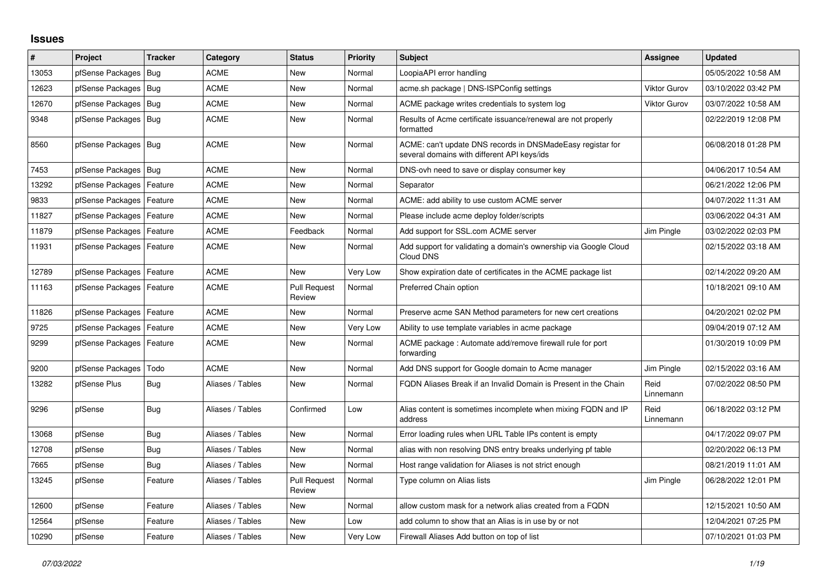## **Issues**

| #     | Project                    | <b>Tracker</b> | Category         | <b>Status</b>                 | <b>Priority</b> | <b>Subject</b>                                                                                            | Assignee            | <b>Updated</b>      |
|-------|----------------------------|----------------|------------------|-------------------------------|-----------------|-----------------------------------------------------------------------------------------------------------|---------------------|---------------------|
| 13053 | pfSense Packages           | Bug            | <b>ACME</b>      | <b>New</b>                    | Normal          | LoopiaAPI error handling                                                                                  |                     | 05/05/2022 10:58 AM |
| 12623 | pfSense Packages   Bug     |                | <b>ACME</b>      | New                           | Normal          | acme.sh package   DNS-ISPConfig settings                                                                  | <b>Viktor Gurov</b> | 03/10/2022 03:42 PM |
| 12670 | pfSense Packages   Bug     |                | <b>ACME</b>      | <b>New</b>                    | Normal          | ACME package writes credentials to system log                                                             | <b>Viktor Gurov</b> | 03/07/2022 10:58 AM |
| 9348  | pfSense Packages   Bug     |                | <b>ACME</b>      | New                           | Normal          | Results of Acme certificate issuance/renewal are not properly<br>formatted                                |                     | 02/22/2019 12:08 PM |
| 8560  | pfSense Packages   Bug     |                | <b>ACME</b>      | New                           | Normal          | ACME: can't update DNS records in DNSMadeEasy registar for<br>several domains with different API keys/ids |                     | 06/08/2018 01:28 PM |
| 7453  | pfSense Packages   Bug     |                | <b>ACME</b>      | <b>New</b>                    | Normal          | DNS-ovh need to save or display consumer key                                                              |                     | 04/06/2017 10:54 AM |
| 13292 | pfSense Packages           | Feature        | <b>ACME</b>      | New                           | Normal          | Separator                                                                                                 |                     | 06/21/2022 12:06 PM |
| 9833  | pfSense Packages   Feature |                | <b>ACME</b>      | New                           | Normal          | ACME: add ability to use custom ACME server                                                               |                     | 04/07/2022 11:31 AM |
| 11827 | pfSense Packages   Feature |                | <b>ACME</b>      | <b>New</b>                    | Normal          | Please include acme deploy folder/scripts                                                                 |                     | 03/06/2022 04:31 AM |
| 11879 | pfSense Packages           | Feature        | <b>ACME</b>      | Feedback                      | Normal          | Add support for SSL.com ACME server                                                                       | Jim Pingle          | 03/02/2022 02:03 PM |
| 11931 | pfSense Packages   Feature |                | <b>ACME</b>      | <b>New</b>                    | Normal          | Add support for validating a domain's ownership via Google Cloud<br>Cloud DNS                             |                     | 02/15/2022 03:18 AM |
| 12789 | pfSense Packages   Feature |                | <b>ACME</b>      | <b>New</b>                    | Very Low        | Show expiration date of certificates in the ACME package list                                             |                     | 02/14/2022 09:20 AM |
| 11163 | pfSense Packages   Feature |                | <b>ACME</b>      | <b>Pull Request</b><br>Review | Normal          | Preferred Chain option                                                                                    |                     | 10/18/2021 09:10 AM |
| 11826 | pfSense Packages   Feature |                | <b>ACME</b>      | New                           | Normal          | Preserve acme SAN Method parameters for new cert creations                                                |                     | 04/20/2021 02:02 PM |
| 9725  | pfSense Packages           | Feature        | <b>ACME</b>      | <b>New</b>                    | Very Low        | Ability to use template variables in acme package                                                         |                     | 09/04/2019 07:12 AM |
| 9299  | pfSense Packages           | Feature        | ACME             | New                           | Normal          | ACME package: Automate add/remove firewall rule for port<br>forwarding                                    |                     | 01/30/2019 10:09 PM |
| 9200  | pfSense Packages           | Todo           | <b>ACME</b>      | New                           | Normal          | Add DNS support for Google domain to Acme manager                                                         | Jim Pingle          | 02/15/2022 03:16 AM |
| 13282 | pfSense Plus               | <b>Bug</b>     | Aliases / Tables | New                           | Normal          | FQDN Aliases Break if an Invalid Domain is Present in the Chain                                           | Reid<br>Linnemann   | 07/02/2022 08:50 PM |
| 9296  | pfSense                    | <b>Bug</b>     | Aliases / Tables | Confirmed                     | Low             | Alias content is sometimes incomplete when mixing FQDN and IP<br>address                                  | Reid<br>Linnemann   | 06/18/2022 03:12 PM |
| 13068 | pfSense                    | <b>Bug</b>     | Aliases / Tables | <b>New</b>                    | Normal          | Error loading rules when URL Table IPs content is empty                                                   |                     | 04/17/2022 09:07 PM |
| 12708 | pfSense                    | Bug            | Aliases / Tables | <b>New</b>                    | Normal          | alias with non resolving DNS entry breaks underlying pf table                                             |                     | 02/20/2022 06:13 PM |
| 7665  | pfSense                    | <b>Bug</b>     | Aliases / Tables | New                           | Normal          | Host range validation for Aliases is not strict enough                                                    |                     | 08/21/2019 11:01 AM |
| 13245 | pfSense                    | Feature        | Aliases / Tables | <b>Pull Request</b><br>Review | Normal          | Type column on Alias lists                                                                                | Jim Pingle          | 06/28/2022 12:01 PM |
| 12600 | pfSense                    | Feature        | Aliases / Tables | New                           | Normal          | allow custom mask for a network alias created from a FQDN                                                 |                     | 12/15/2021 10:50 AM |
| 12564 | pfSense                    | Feature        | Aliases / Tables | New                           | Low             | add column to show that an Alias is in use by or not                                                      |                     | 12/04/2021 07:25 PM |
| 10290 | pfSense                    | Feature        | Aliases / Tables | <b>New</b>                    | Very Low        | Firewall Aliases Add button on top of list                                                                |                     | 07/10/2021 01:03 PM |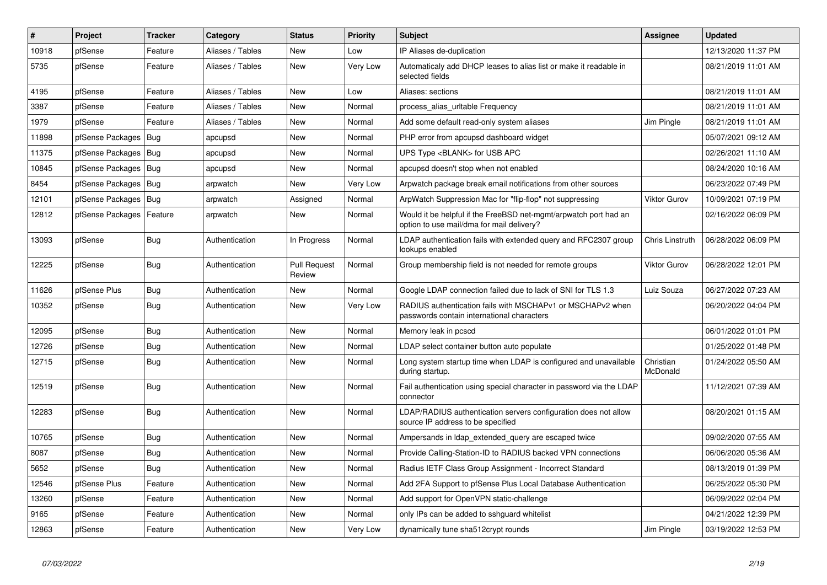| #     | Project          | <b>Tracker</b> | Category         | <b>Status</b>                 | <b>Priority</b> | <b>Subject</b>                                                                                                | Assignee              | <b>Updated</b>      |
|-------|------------------|----------------|------------------|-------------------------------|-----------------|---------------------------------------------------------------------------------------------------------------|-----------------------|---------------------|
| 10918 | pfSense          | Feature        | Aliases / Tables | <b>New</b>                    | Low             | IP Aliases de-duplication                                                                                     |                       | 12/13/2020 11:37 PM |
| 5735  | pfSense          | Feature        | Aliases / Tables | <b>New</b>                    | Very Low        | Automaticaly add DHCP leases to alias list or make it readable in<br>selected fields                          |                       | 08/21/2019 11:01 AM |
| 4195  | pfSense          | Feature        | Aliases / Tables | <b>New</b>                    | Low             | Aliases: sections                                                                                             |                       | 08/21/2019 11:01 AM |
| 3387  | pfSense          | Feature        | Aliases / Tables | <b>New</b>                    | Normal          | process_alias_urItable Frequency                                                                              |                       | 08/21/2019 11:01 AM |
| 1979  | pfSense          | Feature        | Aliases / Tables | New                           | Normal          | Add some default read-only system aliases                                                                     | Jim Pingle            | 08/21/2019 11:01 AM |
| 11898 | pfSense Packages | <b>Bug</b>     | apcupsd          | <b>New</b>                    | Normal          | PHP error from apcupsd dashboard widget                                                                       |                       | 05/07/2021 09:12 AM |
| 11375 | pfSense Packages | Bug            | apcupsd          | <b>New</b>                    | Normal          | UPS Type <blank> for USB APC</blank>                                                                          |                       | 02/26/2021 11:10 AM |
| 10845 | pfSense Packages | Bug            | apcupsd          | <b>New</b>                    | Normal          | apcupsd doesn't stop when not enabled                                                                         |                       | 08/24/2020 10:16 AM |
| 8454  | pfSense Packages | Bug            | arpwatch         | <b>New</b>                    | Very Low        | Arpwatch package break email notifications from other sources                                                 |                       | 06/23/2022 07:49 PM |
| 12101 | pfSense Packages | Bua            | arpwatch         | Assigned                      | Normal          | ArpWatch Suppression Mac for "flip-flop" not suppressing                                                      | <b>Viktor Gurov</b>   | 10/09/2021 07:19 PM |
| 12812 | pfSense Packages | Feature        | arpwatch         | New                           | Normal          | Would it be helpful if the FreeBSD net-mgmt/arpwatch port had an<br>option to use mail/dma for mail delivery? |                       | 02/16/2022 06:09 PM |
| 13093 | pfSense          | Bug            | Authentication   | In Progress                   | Normal          | LDAP authentication fails with extended query and RFC2307 group<br>lookups enabled                            | Chris Linstruth       | 06/28/2022 06:09 PM |
| 12225 | pfSense          | <b>Bug</b>     | Authentication   | <b>Pull Request</b><br>Review | Normal          | Group membership field is not needed for remote groups                                                        | <b>Viktor Gurov</b>   | 06/28/2022 12:01 PM |
| 11626 | pfSense Plus     | <b>Bug</b>     | Authentication   | New                           | Normal          | Google LDAP connection failed due to lack of SNI for TLS 1.3                                                  | Luiz Souza            | 06/27/2022 07:23 AM |
| 10352 | pfSense          | <b>Bug</b>     | Authentication   | New                           | Very Low        | RADIUS authentication fails with MSCHAPv1 or MSCHAPv2 when<br>passwords contain international characters      |                       | 06/20/2022 04:04 PM |
| 12095 | pfSense          | <b>Bug</b>     | Authentication   | <b>New</b>                    | Normal          | Memory leak in pcscd                                                                                          |                       | 06/01/2022 01:01 PM |
| 12726 | pfSense          | <b>Bug</b>     | Authentication   | New                           | Normal          | LDAP select container button auto populate                                                                    |                       | 01/25/2022 01:48 PM |
| 12715 | pfSense          | Bug            | Authentication   | New                           | Normal          | Long system startup time when LDAP is configured and unavailable<br>during startup.                           | Christian<br>McDonald | 01/24/2022 05:50 AM |
| 12519 | pfSense          | Bug            | Authentication   | <b>New</b>                    | Normal          | Fail authentication using special character in password via the LDAP<br>connector                             |                       | 11/12/2021 07:39 AM |
| 12283 | pfSense          | Bug            | Authentication   | New                           | Normal          | LDAP/RADIUS authentication servers configuration does not allow<br>source IP address to be specified          |                       | 08/20/2021 01:15 AM |
| 10765 | pfSense          | <b>Bug</b>     | Authentication   | <b>New</b>                    | Normal          | Ampersands in Idap extended query are escaped twice                                                           |                       | 09/02/2020 07:55 AM |
| 8087  | pfSense          | <b>Bug</b>     | Authentication   | <b>New</b>                    | Normal          | Provide Calling-Station-ID to RADIUS backed VPN connections                                                   |                       | 06/06/2020 05:36 AM |
| 5652  | pfSense          | <b>Bug</b>     | Authentication   | <b>New</b>                    | Normal          | Radius IETF Class Group Assignment - Incorrect Standard                                                       |                       | 08/13/2019 01:39 PM |
| 12546 | pfSense Plus     | Feature        | Authentication   | <b>New</b>                    | Normal          | Add 2FA Support to pfSense Plus Local Database Authentication                                                 |                       | 06/25/2022 05:30 PM |
| 13260 | pfSense          | Feature        | Authentication   | <b>New</b>                    | Normal          | Add support for OpenVPN static-challenge                                                                      |                       | 06/09/2022 02:04 PM |
| 9165  | pfSense          | Feature        | Authentication   | <b>New</b>                    | Normal          | only IPs can be added to sshquard whitelist                                                                   |                       | 04/21/2022 12:39 PM |
| 12863 | pfSense          | Feature        | Authentication   | <b>New</b>                    | Very Low        | dynamically tune sha512crypt rounds                                                                           | Jim Pingle            | 03/19/2022 12:53 PM |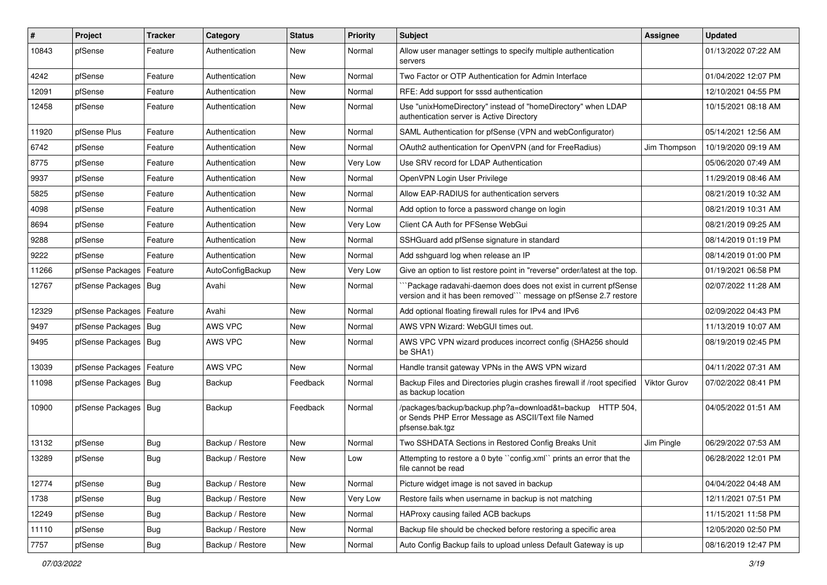| $\sharp$ | Project                    | <b>Tracker</b> | Category         | <b>Status</b> | Priority | <b>Subject</b>                                                                                                                      | <b>Assignee</b> | <b>Updated</b>      |
|----------|----------------------------|----------------|------------------|---------------|----------|-------------------------------------------------------------------------------------------------------------------------------------|-----------------|---------------------|
| 10843    | pfSense                    | Feature        | Authentication   | New           | Normal   | Allow user manager settings to specify multiple authentication<br>servers                                                           |                 | 01/13/2022 07:22 AM |
| 4242     | pfSense                    | Feature        | Authentication   | New           | Normal   | Two Factor or OTP Authentication for Admin Interface                                                                                |                 | 01/04/2022 12:07 PM |
| 12091    | pfSense                    | Feature        | Authentication   | <b>New</b>    | Normal   | RFE: Add support for sssd authentication                                                                                            |                 | 12/10/2021 04:55 PM |
| 12458    | pfSense                    | Feature        | Authentication   | New           | Normal   | Use "unixHomeDirectory" instead of "homeDirectory" when LDAP<br>authentication server is Active Directory                           |                 | 10/15/2021 08:18 AM |
| 11920    | pfSense Plus               | Feature        | Authentication   | New           | Normal   | SAML Authentication for pfSense (VPN and webConfigurator)                                                                           |                 | 05/14/2021 12:56 AM |
| 6742     | pfSense                    | Feature        | Authentication   | <b>New</b>    | Normal   | OAuth2 authentication for OpenVPN (and for FreeRadius)                                                                              | Jim Thompson    | 10/19/2020 09:19 AM |
| 8775     | pfSense                    | Feature        | Authentication   | New           | Very Low | Use SRV record for LDAP Authentication                                                                                              |                 | 05/06/2020 07:49 AM |
| 9937     | pfSense                    | Feature        | Authentication   | New           | Normal   | OpenVPN Login User Privilege                                                                                                        |                 | 11/29/2019 08:46 AM |
| 5825     | pfSense                    | Feature        | Authentication   | New           | Normal   | Allow EAP-RADIUS for authentication servers                                                                                         |                 | 08/21/2019 10:32 AM |
| 4098     | pfSense                    | Feature        | Authentication   | <b>New</b>    | Normal   | Add option to force a password change on login                                                                                      |                 | 08/21/2019 10:31 AM |
| 8694     | pfSense                    | Feature        | Authentication   | New           | Very Low | Client CA Auth for PFSense WebGui                                                                                                   |                 | 08/21/2019 09:25 AM |
| 9288     | pfSense                    | Feature        | Authentication   | <b>New</b>    | Normal   | SSHGuard add pfSense signature in standard                                                                                          |                 | 08/14/2019 01:19 PM |
| 9222     | pfSense                    | Feature        | Authentication   | New           | Normal   | Add sshguard log when release an IP                                                                                                 |                 | 08/14/2019 01:00 PM |
| 11266    | pfSense Packages           | Feature        | AutoConfigBackup | New           | Very Low | Give an option to list restore point in "reverse" order/latest at the top.                                                          |                 | 01/19/2021 06:58 PM |
| 12767    | pfSense Packages   Bug     |                | Avahi            | New           | Normal   | `Package radavahi-daemon does does not exist in current pfSense<br>version and it has been removed"" message on pfSense 2.7 restore |                 | 02/07/2022 11:28 AM |
| 12329    | pfSense Packages           | Feature        | Avahi            | New           | Normal   | Add optional floating firewall rules for IPv4 and IPv6                                                                              |                 | 02/09/2022 04:43 PM |
| 9497     | pfSense Packages   Bug     |                | <b>AWS VPC</b>   | <b>New</b>    | Normal   | AWS VPN Wizard: WebGUI times out.                                                                                                   |                 | 11/13/2019 10:07 AM |
| 9495     | pfSense Packages           | Bug            | AWS VPC          | New           | Normal   | AWS VPC VPN wizard produces incorrect config (SHA256 should<br>be SHA1)                                                             |                 | 08/19/2019 02:45 PM |
| 13039    | pfSense Packages   Feature |                | AWS VPC          | New           | Normal   | Handle transit gateway VPNs in the AWS VPN wizard                                                                                   |                 | 04/11/2022 07:31 AM |
| 11098    | pfSense Packages   Bug     |                | Backup           | Feedback      | Normal   | Backup Files and Directories plugin crashes firewall if /root specified<br>as backup location                                       | Viktor Gurov    | 07/02/2022 08:41 PM |
| 10900    | pfSense Packages   Bug     |                | Backup           | Feedback      | Normal   | /packages/backup/backup.php?a=download&t=backup HTTP 504,<br>or Sends PHP Error Message as ASCII/Text file Named<br>pfsense.bak.tgz |                 | 04/05/2022 01:51 AM |
| 13132    | pfSense                    | <b>Bug</b>     | Backup / Restore | New           | Normal   | Two SSHDATA Sections in Restored Config Breaks Unit                                                                                 | Jim Pingle      | 06/29/2022 07:53 AM |
| 13289    | pfSense                    | Bug            | Backup / Restore | New           | Low      | Attempting to restore a 0 byte "config.xml" prints an error that the<br>file cannot be read                                         |                 | 06/28/2022 12:01 PM |
| 12774    | pfSense                    | <b>Bug</b>     | Backup / Restore | New           | Normal   | Picture widget image is not saved in backup                                                                                         |                 | 04/04/2022 04:48 AM |
| 1738     | pfSense                    | Bug            | Backup / Restore | New           | Very Low | Restore fails when username in backup is not matching                                                                               |                 | 12/11/2021 07:51 PM |
| 12249    | pfSense                    | <b>Bug</b>     | Backup / Restore | New           | Normal   | HAProxy causing failed ACB backups                                                                                                  |                 | 11/15/2021 11:58 PM |
| 11110    | pfSense                    | Bug            | Backup / Restore | New           | Normal   | Backup file should be checked before restoring a specific area                                                                      |                 | 12/05/2020 02:50 PM |
| 7757     | pfSense                    | Bug            | Backup / Restore | New           | Normal   | Auto Config Backup fails to upload unless Default Gateway is up                                                                     |                 | 08/16/2019 12:47 PM |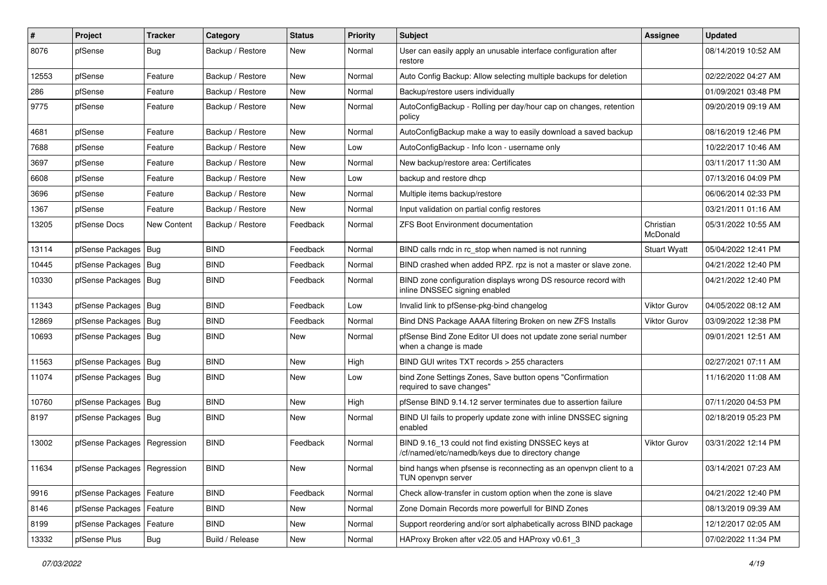| $\#$  | Project                       | <b>Tracker</b>     | Category         | <b>Status</b> | <b>Priority</b> | <b>Subject</b>                                                                                           | Assignee              | <b>Updated</b>      |
|-------|-------------------------------|--------------------|------------------|---------------|-----------------|----------------------------------------------------------------------------------------------------------|-----------------------|---------------------|
| 8076  | pfSense                       | Bug                | Backup / Restore | New           | Normal          | User can easily apply an unusable interface configuration after<br>restore                               |                       | 08/14/2019 10:52 AM |
| 12553 | pfSense                       | Feature            | Backup / Restore | New           | Normal          | Auto Config Backup: Allow selecting multiple backups for deletion                                        |                       | 02/22/2022 04:27 AM |
| 286   | pfSense                       | Feature            | Backup / Restore | New           | Normal          | Backup/restore users individually                                                                        |                       | 01/09/2021 03:48 PM |
| 9775  | pfSense                       | Feature            | Backup / Restore | <b>New</b>    | Normal          | AutoConfigBackup - Rolling per day/hour cap on changes, retention<br>policy                              |                       | 09/20/2019 09:19 AM |
| 4681  | pfSense                       | Feature            | Backup / Restore | New           | Normal          | AutoConfigBackup make a way to easily download a saved backup                                            |                       | 08/16/2019 12:46 PM |
| 7688  | pfSense                       | Feature            | Backup / Restore | <b>New</b>    | Low             | AutoConfigBackup - Info Icon - username only                                                             |                       | 10/22/2017 10:46 AM |
| 3697  | pfSense                       | Feature            | Backup / Restore | New           | Normal          | New backup/restore area: Certificates                                                                    |                       | 03/11/2017 11:30 AM |
| 6608  | pfSense                       | Feature            | Backup / Restore | <b>New</b>    | Low             | backup and restore dhcp                                                                                  |                       | 07/13/2016 04:09 PM |
| 3696  | pfSense                       | Feature            | Backup / Restore | New           | Normal          | Multiple items backup/restore                                                                            |                       | 06/06/2014 02:33 PM |
| 1367  | pfSense                       | Feature            | Backup / Restore | New           | Normal          | Input validation on partial config restores                                                              |                       | 03/21/2011 01:16 AM |
| 13205 | pfSense Docs                  | <b>New Content</b> | Backup / Restore | Feedback      | Normal          | ZFS Boot Environment documentation                                                                       | Christian<br>McDonald | 05/31/2022 10:55 AM |
| 13114 | pfSense Packages   Bug        |                    | <b>BIND</b>      | Feedback      | Normal          | BIND calls rndc in rc_stop when named is not running                                                     | <b>Stuart Wyatt</b>   | 05/04/2022 12:41 PM |
| 10445 | pfSense Packages              | Bug                | <b>BIND</b>      | Feedback      | Normal          | BIND crashed when added RPZ. rpz is not a master or slave zone.                                          |                       | 04/21/2022 12:40 PM |
| 10330 | pfSense Packages   Bug        |                    | <b>BIND</b>      | Feedback      | Normal          | BIND zone configuration displays wrong DS resource record with<br>inline DNSSEC signing enabled          |                       | 04/21/2022 12:40 PM |
| 11343 | pfSense Packages   Bug        |                    | <b>BIND</b>      | Feedback      | Low             | Invalid link to pfSense-pkg-bind changelog                                                               | Viktor Gurov          | 04/05/2022 08:12 AM |
| 12869 | pfSense Packages   Bug        |                    | <b>BIND</b>      | Feedback      | Normal          | Bind DNS Package AAAA filtering Broken on new ZFS Installs                                               | <b>Viktor Gurov</b>   | 03/09/2022 12:38 PM |
| 10693 | pfSense Packages   Bug        |                    | <b>BIND</b>      | New           | Normal          | pfSense Bind Zone Editor UI does not update zone serial number<br>when a change is made                  |                       | 09/01/2021 12:51 AM |
| 11563 | pfSense Packages   Bug        |                    | <b>BIND</b>      | New           | High            | BIND GUI writes TXT records > 255 characters                                                             |                       | 02/27/2021 07:11 AM |
| 11074 | pfSense Packages   Bug        |                    | <b>BIND</b>      | New           | Low             | bind Zone Settings Zones, Save button opens "Confirmation<br>required to save changes"                   |                       | 11/16/2020 11:08 AM |
| 10760 | pfSense Packages   Bug        |                    | <b>BIND</b>      | <b>New</b>    | High            | pfSense BIND 9.14.12 server terminates due to assertion failure                                          |                       | 07/11/2020 04:53 PM |
| 8197  | pfSense Packages   Bug        |                    | <b>BIND</b>      | New           | Normal          | BIND UI fails to properly update zone with inline DNSSEC signing<br>enabled                              |                       | 02/18/2019 05:23 PM |
| 13002 | pfSense Packages   Regression |                    | <b>BIND</b>      | Feedback      | Normal          | BIND 9.16_13 could not find existing DNSSEC keys at<br>/cf/named/etc/namedb/keys due to directory change | Viktor Gurov          | 03/31/2022 12:14 PM |
| 11634 | pfSense Packages   Regression |                    | <b>BIND</b>      | New           | Normal          | bind hangs when pfsense is reconnecting as an openvpn client to a<br>TUN openvpn server                  |                       | 03/14/2021 07:23 AM |
| 9916  | pfSense Packages   Feature    |                    | <b>BIND</b>      | Feedback      | Normal          | Check allow-transfer in custom option when the zone is slave                                             |                       | 04/21/2022 12:40 PM |
| 8146  | pfSense Packages   Feature    |                    | <b>BIND</b>      | New           | Normal          | Zone Domain Records more powerfull for BIND Zones                                                        |                       | 08/13/2019 09:39 AM |
| 8199  | pfSense Packages              | Feature            | <b>BIND</b>      | New           | Normal          | Support reordering and/or sort alphabetically across BIND package                                        |                       | 12/12/2017 02:05 AM |
| 13332 | pfSense Plus                  | Bug                | Build / Release  | New           | Normal          | HAProxy Broken after v22.05 and HAProxy v0.61_3                                                          |                       | 07/02/2022 11:34 PM |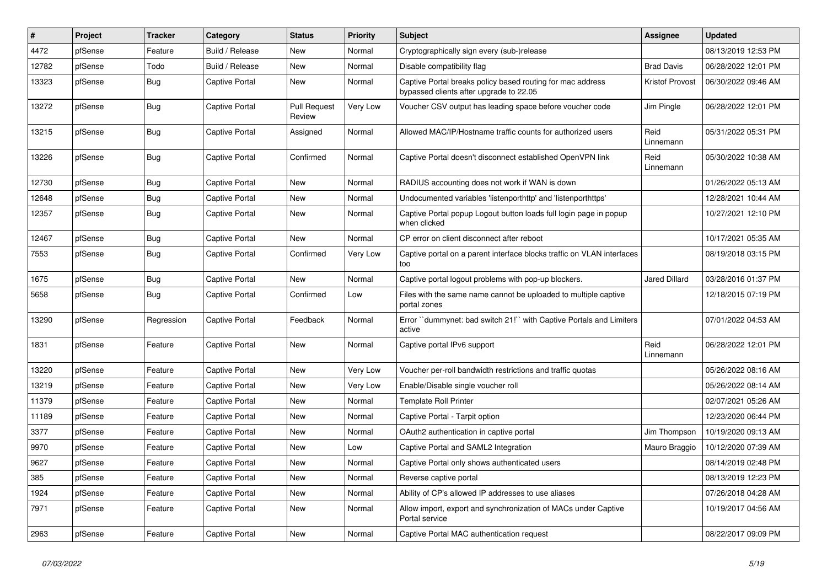| $\sharp$ | Project | <b>Tracker</b> | Category              | <b>Status</b>                 | <b>Priority</b> | <b>Subject</b>                                                                                        | <b>Assignee</b>   | <b>Updated</b>      |
|----------|---------|----------------|-----------------------|-------------------------------|-----------------|-------------------------------------------------------------------------------------------------------|-------------------|---------------------|
| 4472     | pfSense | Feature        | Build / Release       | <b>New</b>                    | Normal          | Cryptographically sign every (sub-)release                                                            |                   | 08/13/2019 12:53 PM |
| 12782    | pfSense | Todo           | Build / Release       | New                           | Normal          | Disable compatibility flag                                                                            | <b>Brad Davis</b> | 06/28/2022 12:01 PM |
| 13323    | pfSense | Bug            | <b>Captive Portal</b> | New                           | Normal          | Captive Portal breaks policy based routing for mac address<br>bypassed clients after upgrade to 22.05 | Kristof Provost   | 06/30/2022 09:46 AM |
| 13272    | pfSense | Bug            | <b>Captive Portal</b> | <b>Pull Request</b><br>Review | Very Low        | Voucher CSV output has leading space before voucher code                                              | Jim Pingle        | 06/28/2022 12:01 PM |
| 13215    | pfSense | <b>Bug</b>     | <b>Captive Portal</b> | Assigned                      | Normal          | Allowed MAC/IP/Hostname traffic counts for authorized users                                           | Reid<br>Linnemann | 05/31/2022 05:31 PM |
| 13226    | pfSense | <b>Bug</b>     | <b>Captive Portal</b> | Confirmed                     | Normal          | Captive Portal doesn't disconnect established OpenVPN link                                            | Reid<br>Linnemann | 05/30/2022 10:38 AM |
| 12730    | pfSense | Bug            | <b>Captive Portal</b> | <b>New</b>                    | Normal          | RADIUS accounting does not work if WAN is down                                                        |                   | 01/26/2022 05:13 AM |
| 12648    | pfSense | Bug            | <b>Captive Portal</b> | New                           | Normal          | Undocumented variables 'listenporthttp' and 'listenporthttps'                                         |                   | 12/28/2021 10:44 AM |
| 12357    | pfSense | Bug            | Captive Portal        | New                           | Normal          | Captive Portal popup Logout button loads full login page in popup<br>when clicked                     |                   | 10/27/2021 12:10 PM |
| 12467    | pfSense | <b>Bug</b>     | <b>Captive Portal</b> | <b>New</b>                    | Normal          | CP error on client disconnect after reboot                                                            |                   | 10/17/2021 05:35 AM |
| 7553     | pfSense | <b>Bug</b>     | <b>Captive Portal</b> | Confirmed                     | Very Low        | Captive portal on a parent interface blocks traffic on VLAN interfaces<br>too                         |                   | 08/19/2018 03:15 PM |
| 1675     | pfSense | <b>Bug</b>     | <b>Captive Portal</b> | New                           | Normal          | Captive portal logout problems with pop-up blockers.                                                  | Jared Dillard     | 03/28/2016 01:37 PM |
| 5658     | pfSense | Bug            | Captive Portal        | Confirmed                     | Low             | Files with the same name cannot be uploaded to multiple captive<br>portal zones                       |                   | 12/18/2015 07:19 PM |
| 13290    | pfSense | Regression     | <b>Captive Portal</b> | Feedback                      | Normal          | Error "dummynet: bad switch 21!" with Captive Portals and Limiters<br>active                          |                   | 07/01/2022 04:53 AM |
| 1831     | pfSense | Feature        | <b>Captive Portal</b> | <b>New</b>                    | Normal          | Captive portal IPv6 support                                                                           | Reid<br>Linnemann | 06/28/2022 12:01 PM |
| 13220    | pfSense | Feature        | <b>Captive Portal</b> | New                           | Very Low        | Voucher per-roll bandwidth restrictions and traffic quotas                                            |                   | 05/26/2022 08:16 AM |
| 13219    | pfSense | Feature        | <b>Captive Portal</b> | <b>New</b>                    | Very Low        | Enable/Disable single voucher roll                                                                    |                   | 05/26/2022 08:14 AM |
| 11379    | pfSense | Feature        | <b>Captive Portal</b> | New                           | Normal          | <b>Template Roll Printer</b>                                                                          |                   | 02/07/2021 05:26 AM |
| 11189    | pfSense | Feature        | Captive Portal        | New                           | Normal          | Captive Portal - Tarpit option                                                                        |                   | 12/23/2020 06:44 PM |
| 3377     | pfSense | Feature        | Captive Portal        | New                           | Normal          | OAuth2 authentication in captive portal                                                               | Jim Thompson      | 10/19/2020 09:13 AM |
| 9970     | pfSense | Feature        | <b>Captive Portal</b> | New                           | Low             | Captive Portal and SAML2 Integration                                                                  | Mauro Braggio     | 10/12/2020 07:39 AM |
| 9627     | pfSense | Feature        | <b>Captive Portal</b> | New                           | Normal          | Captive Portal only shows authenticated users                                                         |                   | 08/14/2019 02:48 PM |
| 385      | pfSense | Feature        | Captive Portal        | New                           | Normal          | Reverse captive portal                                                                                |                   | 08/13/2019 12:23 PM |
| 1924     | pfSense | Feature        | <b>Captive Portal</b> | <b>New</b>                    | Normal          | Ability of CP's allowed IP addresses to use aliases                                                   |                   | 07/26/2018 04:28 AM |
| 7971     | pfSense | Feature        | <b>Captive Portal</b> | New                           | Normal          | Allow import, export and synchronization of MACs under Captive<br>Portal service                      |                   | 10/19/2017 04:56 AM |
| 2963     | pfSense | Feature        | <b>Captive Portal</b> | <b>New</b>                    | Normal          | Captive Portal MAC authentication request                                                             |                   | 08/22/2017 09:09 PM |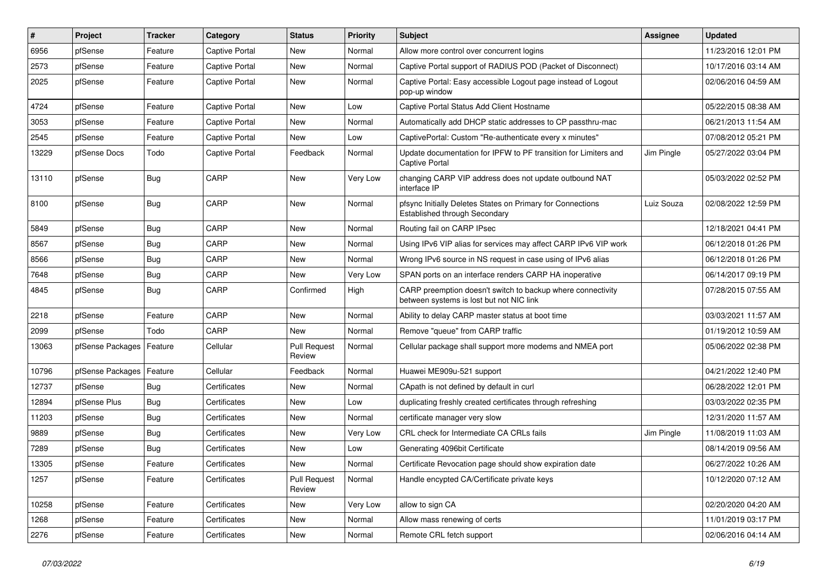| #     | Project          | Tracker    | Category       | <b>Status</b>                 | Priority | <b>Subject</b>                                                                                          | <b>Assignee</b> | <b>Updated</b>      |
|-------|------------------|------------|----------------|-------------------------------|----------|---------------------------------------------------------------------------------------------------------|-----------------|---------------------|
| 6956  | pfSense          | Feature    | Captive Portal | New                           | Normal   | Allow more control over concurrent logins                                                               |                 | 11/23/2016 12:01 PM |
| 2573  | pfSense          | Feature    | Captive Portal | <b>New</b>                    | Normal   | Captive Portal support of RADIUS POD (Packet of Disconnect)                                             |                 | 10/17/2016 03:14 AM |
| 2025  | pfSense          | Feature    | Captive Portal | New                           | Normal   | Captive Portal: Easy accessible Logout page instead of Logout<br>pop-up window                          |                 | 02/06/2016 04:59 AM |
| 4724  | pfSense          | Feature    | Captive Portal | <b>New</b>                    | Low      | Captive Portal Status Add Client Hostname                                                               |                 | 05/22/2015 08:38 AM |
| 3053  | pfSense          | Feature    | Captive Portal | <b>New</b>                    | Normal   | Automatically add DHCP static addresses to CP passthru-mac                                              |                 | 06/21/2013 11:54 AM |
| 2545  | pfSense          | Feature    | Captive Portal | <b>New</b>                    | Low      | CaptivePortal: Custom "Re-authenticate every x minutes"                                                 |                 | 07/08/2012 05:21 PM |
| 13229 | pfSense Docs     | Todo       | Captive Portal | Feedback                      | Normal   | Update documentation for IPFW to PF transition for Limiters and<br>Captive Portal                       | Jim Pingle      | 05/27/2022 03:04 PM |
| 13110 | pfSense          | <b>Bug</b> | CARP           | <b>New</b>                    | Very Low | changing CARP VIP address does not update outbound NAT<br>interface IP                                  |                 | 05/03/2022 02:52 PM |
| 8100  | pfSense          | <b>Bug</b> | CARP           | <b>New</b>                    | Normal   | pfsync Initially Deletes States on Primary for Connections<br>Established through Secondary             | Luiz Souza      | 02/08/2022 12:59 PM |
| 5849  | pfSense          | <b>Bug</b> | CARP           | <b>New</b>                    | Normal   | Routing fail on CARP IPsec                                                                              |                 | 12/18/2021 04:41 PM |
| 8567  | pfSense          | <b>Bug</b> | CARP           | New                           | Normal   | Using IPv6 VIP alias for services may affect CARP IPv6 VIP work                                         |                 | 06/12/2018 01:26 PM |
| 8566  | pfSense          | <b>Bug</b> | CARP           | <b>New</b>                    | Normal   | Wrong IPv6 source in NS request in case using of IPv6 alias                                             |                 | 06/12/2018 01:26 PM |
| 7648  | pfSense          | Bug        | CARP           | New                           | Very Low | SPAN ports on an interface renders CARP HA inoperative                                                  |                 | 06/14/2017 09:19 PM |
| 4845  | pfSense          | <b>Bug</b> | CARP           | Confirmed                     | High     | CARP preemption doesn't switch to backup where connectivity<br>between systems is lost but not NIC link |                 | 07/28/2015 07:55 AM |
| 2218  | pfSense          | Feature    | CARP           | <b>New</b>                    | Normal   | Ability to delay CARP master status at boot time                                                        |                 | 03/03/2021 11:57 AM |
| 2099  | pfSense          | Todo       | CARP           | <b>New</b>                    | Normal   | Remove "queue" from CARP traffic                                                                        |                 | 01/19/2012 10:59 AM |
| 13063 | pfSense Packages | Feature    | Cellular       | <b>Pull Request</b><br>Review | Normal   | Cellular package shall support more modems and NMEA port                                                |                 | 05/06/2022 02:38 PM |
| 10796 | pfSense Packages | Feature    | Cellular       | Feedback                      | Normal   | Huawei ME909u-521 support                                                                               |                 | 04/21/2022 12:40 PM |
| 12737 | pfSense          | <b>Bug</b> | Certificates   | New                           | Normal   | CApath is not defined by default in curl                                                                |                 | 06/28/2022 12:01 PM |
| 12894 | pfSense Plus     | <b>Bug</b> | Certificates   | <b>New</b>                    | Low      | duplicating freshly created certificates through refreshing                                             |                 | 03/03/2022 02:35 PM |
| 11203 | pfSense          | Bug        | Certificates   | New                           | Normal   | certificate manager very slow                                                                           |                 | 12/31/2020 11:57 AM |
| 9889  | pfSense          | <b>Bug</b> | Certificates   | <b>New</b>                    | Very Low | CRL check for Intermediate CA CRLs fails                                                                | Jim Pingle      | 11/08/2019 11:03 AM |
| 7289  | pfSense          | Bug        | Certificates   | <b>New</b>                    | Low      | Generating 4096bit Certificate                                                                          |                 | 08/14/2019 09:56 AM |
| 13305 | pfSense          | Feature    | Certificates   | New                           | Normal   | Certificate Revocation page should show expiration date                                                 |                 | 06/27/2022 10:26 AM |
| 1257  | pfSense          | Feature    | Certificates   | <b>Pull Request</b><br>Review | Normal   | Handle encypted CA/Certificate private keys                                                             |                 | 10/12/2020 07:12 AM |
| 10258 | pfSense          | Feature    | Certificates   | New                           | Very Low | allow to sign CA                                                                                        |                 | 02/20/2020 04:20 AM |
| 1268  | pfSense          | Feature    | Certificates   | New                           | Normal   | Allow mass renewing of certs                                                                            |                 | 11/01/2019 03:17 PM |
| 2276  | pfSense          | Feature    | Certificates   | New                           | Normal   | Remote CRL fetch support                                                                                |                 | 02/06/2016 04:14 AM |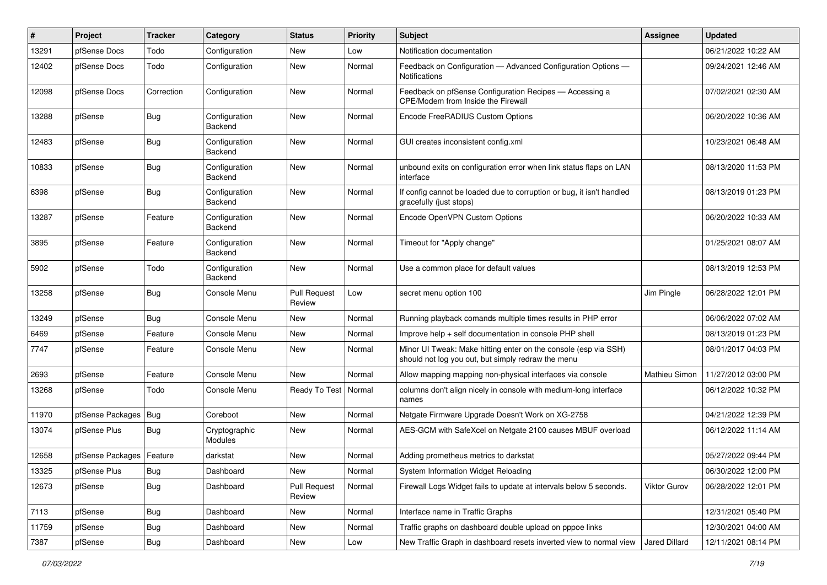| #     | Project          | <b>Tracker</b> | Category                 | <b>Status</b>                 | <b>Priority</b> | Subject                                                                                                               | Assignee      | <b>Updated</b>      |
|-------|------------------|----------------|--------------------------|-------------------------------|-----------------|-----------------------------------------------------------------------------------------------------------------------|---------------|---------------------|
| 13291 | pfSense Docs     | Todo           | Configuration            | New                           | Low             | Notification documentation                                                                                            |               | 06/21/2022 10:22 AM |
| 12402 | pfSense Docs     | Todo           | Configuration            | <b>New</b>                    | Normal          | Feedback on Configuration - Advanced Configuration Options -<br>Notifications                                         |               | 09/24/2021 12:46 AM |
| 12098 | pfSense Docs     | Correction     | Configuration            | <b>New</b>                    | Normal          | Feedback on pfSense Configuration Recipes - Accessing a<br>CPE/Modem from Inside the Firewall                         |               | 07/02/2021 02:30 AM |
| 13288 | pfSense          | <b>Bug</b>     | Configuration<br>Backend | <b>New</b>                    | Normal          | Encode FreeRADIUS Custom Options                                                                                      |               | 06/20/2022 10:36 AM |
| 12483 | pfSense          | <b>Bug</b>     | Configuration<br>Backend | <b>New</b>                    | Normal          | GUI creates inconsistent config.xml                                                                                   |               | 10/23/2021 06:48 AM |
| 10833 | pfSense          | <b>Bug</b>     | Configuration<br>Backend | <b>New</b>                    | Normal          | unbound exits on configuration error when link status flaps on LAN<br>interface                                       |               | 08/13/2020 11:53 PM |
| 6398  | pfSense          | <b>Bug</b>     | Configuration<br>Backend | <b>New</b>                    | Normal          | If config cannot be loaded due to corruption or bug, it isn't handled<br>gracefully (just stops)                      |               | 08/13/2019 01:23 PM |
| 13287 | pfSense          | Feature        | Configuration<br>Backend | <b>New</b>                    | Normal          | Encode OpenVPN Custom Options                                                                                         |               | 06/20/2022 10:33 AM |
| 3895  | pfSense          | Feature        | Configuration<br>Backend | <b>New</b>                    | Normal          | Timeout for "Apply change"                                                                                            |               | 01/25/2021 08:07 AM |
| 5902  | pfSense          | Todo           | Configuration<br>Backend | <b>New</b>                    | Normal          | Use a common place for default values                                                                                 |               | 08/13/2019 12:53 PM |
| 13258 | pfSense          | <b>Bug</b>     | Console Menu             | <b>Pull Request</b><br>Review | Low             | secret menu option 100                                                                                                | Jim Pingle    | 06/28/2022 12:01 PM |
| 13249 | pfSense          | <b>Bug</b>     | Console Menu             | New                           | Normal          | Running playback comands multiple times results in PHP error                                                          |               | 06/06/2022 07:02 AM |
| 6469  | pfSense          | Feature        | Console Menu             | <b>New</b>                    | Normal          | Improve help + self documentation in console PHP shell                                                                |               | 08/13/2019 01:23 PM |
| 7747  | pfSense          | Feature        | Console Menu             | <b>New</b>                    | Normal          | Minor UI Tweak: Make hitting enter on the console (esp via SSH)<br>should not log you out, but simply redraw the menu |               | 08/01/2017 04:03 PM |
| 2693  | pfSense          | Feature        | Console Menu             | <b>New</b>                    | Normal          | Allow mapping mapping non-physical interfaces via console                                                             | Mathieu Simon | 11/27/2012 03:00 PM |
| 13268 | pfSense          | Todo           | Console Menu             | Ready To Test                 | Normal          | columns don't align nicely in console with medium-long interface<br>names                                             |               | 06/12/2022 10:32 PM |
| 11970 | pfSense Packages | <b>Bug</b>     | Coreboot                 | <b>New</b>                    | Normal          | Netgate Firmware Upgrade Doesn't Work on XG-2758                                                                      |               | 04/21/2022 12:39 PM |
| 13074 | pfSense Plus     | <b>Bug</b>     | Cryptographic<br>Modules | <b>New</b>                    | Normal          | AES-GCM with SafeXcel on Netgate 2100 causes MBUF overload                                                            |               | 06/12/2022 11:14 AM |
| 12658 | pfSense Packages | Feature        | darkstat                 | <b>New</b>                    | Normal          | Adding prometheus metrics to darkstat                                                                                 |               | 05/27/2022 09:44 PM |
| 13325 | pfSense Plus     | Bug            | Dashboard                | New                           | Normal          | System Information Widget Reloading                                                                                   |               | 06/30/2022 12:00 PM |
| 12673 | pfSense          | <b>Bug</b>     | Dashboard                | <b>Pull Request</b><br>Review | Normal          | Firewall Logs Widget fails to update at intervals below 5 seconds.                                                    | Viktor Gurov  | 06/28/2022 12:01 PM |
| 7113  | pfSense          | <b>Bug</b>     | Dashboard                | New                           | Normal          | Interface name in Traffic Graphs                                                                                      |               | 12/31/2021 05:40 PM |
| 11759 | pfSense          | <b>Bug</b>     | Dashboard                | New                           | Normal          | Traffic graphs on dashboard double upload on pppoe links                                                              |               | 12/30/2021 04:00 AM |
| 7387  | pfSense          | Bug            | Dashboard                | New                           | Low             | New Traffic Graph in dashboard resets inverted view to normal view                                                    | Jared Dillard | 12/11/2021 08:14 PM |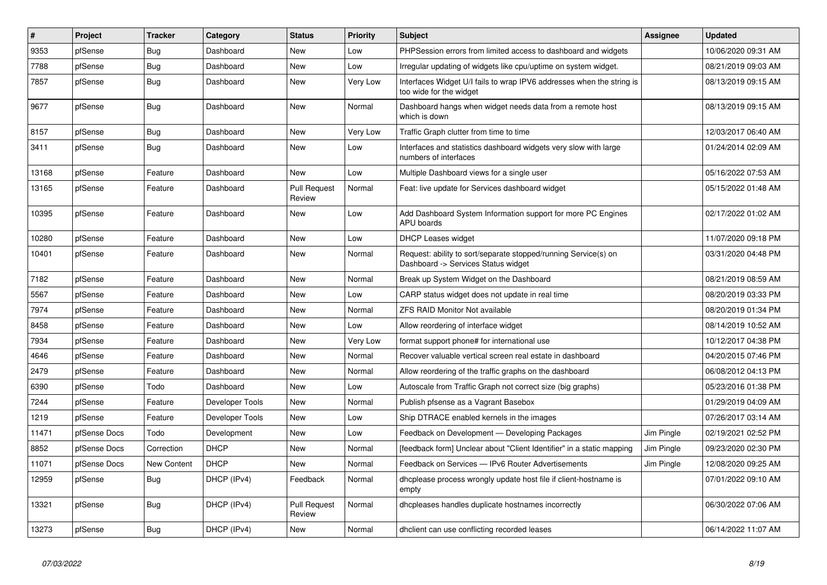| $\vert$ # | <b>Project</b> | <b>Tracker</b>     | Category        | <b>Status</b>                 | <b>Priority</b> | <b>Subject</b>                                                                                         | Assignee   | <b>Updated</b>      |
|-----------|----------------|--------------------|-----------------|-------------------------------|-----------------|--------------------------------------------------------------------------------------------------------|------------|---------------------|
| 9353      | pfSense        | Bug                | Dashboard       | <b>New</b>                    | Low             | PHPSession errors from limited access to dashboard and widgets                                         |            | 10/06/2020 09:31 AM |
| 7788      | pfSense        | <b>Bug</b>         | Dashboard       | <b>New</b>                    | Low             | Irregular updating of widgets like cpu/uptime on system widget.                                        |            | 08/21/2019 09:03 AM |
| 7857      | pfSense        | <b>Bug</b>         | Dashboard       | <b>New</b>                    | Very Low        | Interfaces Widget U/I fails to wrap IPV6 addresses when the string is<br>too wide for the widget       |            | 08/13/2019 09:15 AM |
| 9677      | pfSense        | <b>Bug</b>         | Dashboard       | <b>New</b>                    | Normal          | Dashboard hangs when widget needs data from a remote host<br>which is down                             |            | 08/13/2019 09:15 AM |
| 8157      | pfSense        | Bug                | Dashboard       | New                           | Very Low        | Traffic Graph clutter from time to time                                                                |            | 12/03/2017 06:40 AM |
| 3411      | pfSense        | <b>Bug</b>         | Dashboard       | <b>New</b>                    | Low             | Interfaces and statistics dashboard widgets very slow with large<br>numbers of interfaces              |            | 01/24/2014 02:09 AM |
| 13168     | pfSense        | Feature            | Dashboard       | <b>New</b>                    | Low             | Multiple Dashboard views for a single user                                                             |            | 05/16/2022 07:53 AM |
| 13165     | pfSense        | Feature            | Dashboard       | <b>Pull Request</b><br>Review | Normal          | Feat: live update for Services dashboard widget                                                        |            | 05/15/2022 01:48 AM |
| 10395     | pfSense        | Feature            | Dashboard       | <b>New</b>                    | Low             | Add Dashboard System Information support for more PC Engines<br>APU boards                             |            | 02/17/2022 01:02 AM |
| 10280     | pfSense        | Feature            | Dashboard       | <b>New</b>                    | Low             | <b>DHCP Leases widget</b>                                                                              |            | 11/07/2020 09:18 PM |
| 10401     | pfSense        | Feature            | Dashboard       | <b>New</b>                    | Normal          | Request: ability to sort/separate stopped/running Service(s) on<br>Dashboard -> Services Status widget |            | 03/31/2020 04:48 PM |
| 7182      | pfSense        | Feature            | Dashboard       | <b>New</b>                    | Normal          | Break up System Widget on the Dashboard                                                                |            | 08/21/2019 08:59 AM |
| 5567      | pfSense        | Feature            | Dashboard       | <b>New</b>                    | Low             | CARP status widget does not update in real time                                                        |            | 08/20/2019 03:33 PM |
| 7974      | pfSense        | Feature            | Dashboard       | <b>New</b>                    | Normal          | <b>ZFS RAID Monitor Not available</b>                                                                  |            | 08/20/2019 01:34 PM |
| 8458      | pfSense        | Feature            | Dashboard       | <b>New</b>                    | Low             | Allow reordering of interface widget                                                                   |            | 08/14/2019 10:52 AM |
| 7934      | pfSense        | Feature            | Dashboard       | <b>New</b>                    | Very Low        | format support phone# for international use                                                            |            | 10/12/2017 04:38 PM |
| 4646      | pfSense        | Feature            | Dashboard       | <b>New</b>                    | Normal          | Recover valuable vertical screen real estate in dashboard                                              |            | 04/20/2015 07:46 PM |
| 2479      | pfSense        | Feature            | Dashboard       | <b>New</b>                    | Normal          | Allow reordering of the traffic graphs on the dashboard                                                |            | 06/08/2012 04:13 PM |
| 6390      | pfSense        | Todo               | Dashboard       | <b>New</b>                    | Low             | Autoscale from Traffic Graph not correct size (big graphs)                                             |            | 05/23/2016 01:38 PM |
| 7244      | pfSense        | Feature            | Developer Tools | <b>New</b>                    | Normal          | Publish pfsense as a Vagrant Basebox                                                                   |            | 01/29/2019 04:09 AM |
| 1219      | pfSense        | Feature            | Developer Tools | <b>New</b>                    | Low             | Ship DTRACE enabled kernels in the images                                                              |            | 07/26/2017 03:14 AM |
| 11471     | pfSense Docs   | Todo               | Development     | <b>New</b>                    | Low             | Feedback on Development - Developing Packages                                                          | Jim Pingle | 02/19/2021 02:52 PM |
| 8852      | pfSense Docs   | Correction         | <b>DHCP</b>     | <b>New</b>                    | Normal          | [feedback form] Unclear about "Client Identifier" in a static mapping                                  | Jim Pingle | 09/23/2020 02:30 PM |
| 11071     | pfSense Docs   | <b>New Content</b> | <b>DHCP</b>     | <b>New</b>                    | Normal          | Feedback on Services - IPv6 Router Advertisements                                                      | Jim Pingle | 12/08/2020 09:25 AM |
| 12959     | pfSense        | Bug                | DHCP (IPv4)     | Feedback                      | Normal          | dhoplease process wrongly update host file if client-hostname is<br>empty                              |            | 07/01/2022 09:10 AM |
| 13321     | pfSense        | <b>Bug</b>         | DHCP (IPv4)     | <b>Pull Request</b><br>Review | Normal          | dhcpleases handles duplicate hostnames incorrectly                                                     |            | 06/30/2022 07:06 AM |
| 13273     | pfSense        | Bug                | DHCP (IPv4)     | New                           | Normal          | dholient can use conflicting recorded leases                                                           |            | 06/14/2022 11:07 AM |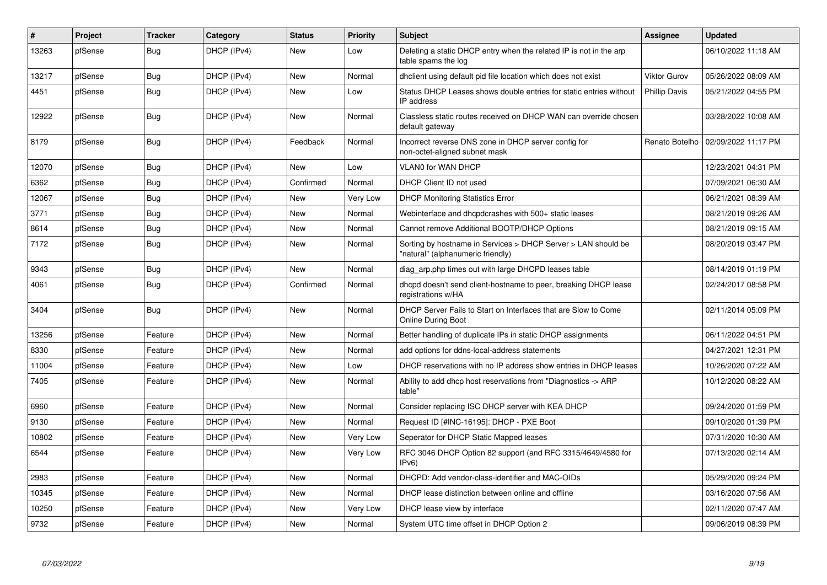| $\vert$ # | Project | <b>Tracker</b> | Category    | <b>Status</b> | <b>Priority</b> | <b>Subject</b>                                                                                     | <b>Assignee</b>      | <b>Updated</b>      |
|-----------|---------|----------------|-------------|---------------|-----------------|----------------------------------------------------------------------------------------------------|----------------------|---------------------|
| 13263     | pfSense | <b>Bug</b>     | DHCP (IPv4) | <b>New</b>    | Low             | Deleting a static DHCP entry when the related IP is not in the arp<br>table spams the log          |                      | 06/10/2022 11:18 AM |
| 13217     | pfSense | Bug            | DHCP (IPv4) | <b>New</b>    | Normal          | dhclient using default pid file location which does not exist                                      | <b>Viktor Gurov</b>  | 05/26/2022 08:09 AM |
| 4451      | pfSense | <b>Bug</b>     | DHCP (IPv4) | <b>New</b>    | Low             | Status DHCP Leases shows double entries for static entries without<br>IP address                   | <b>Phillip Davis</b> | 05/21/2022 04:55 PM |
| 12922     | pfSense | <b>Bug</b>     | DHCP (IPv4) | <b>New</b>    | Normal          | Classless static routes received on DHCP WAN can override chosen<br>default gateway                |                      | 03/28/2022 10:08 AM |
| 8179      | pfSense | Bug            | DHCP (IPv4) | Feedback      | Normal          | Incorrect reverse DNS zone in DHCP server config for<br>non-octet-aligned subnet mask              | Renato Botelho       | 02/09/2022 11:17 PM |
| 12070     | pfSense | Bug            | DHCP (IPv4) | <b>New</b>    | Low             | VLAN0 for WAN DHCP                                                                                 |                      | 12/23/2021 04:31 PM |
| 6362      | pfSense | <b>Bug</b>     | DHCP (IPv4) | Confirmed     | Normal          | DHCP Client ID not used                                                                            |                      | 07/09/2021 06:30 AM |
| 12067     | pfSense | Bug            | DHCP (IPv4) | <b>New</b>    | Very Low        | <b>DHCP Monitoring Statistics Error</b>                                                            |                      | 06/21/2021 08:39 AM |
| 3771      | pfSense | <b>Bug</b>     | DHCP (IPv4) | <b>New</b>    | Normal          | Webinterface and dhcpdcrashes with 500+ static leases                                              |                      | 08/21/2019 09:26 AM |
| 8614      | pfSense | Bug            | DHCP (IPv4) | <b>New</b>    | Normal          | Cannot remove Additional BOOTP/DHCP Options                                                        |                      | 08/21/2019 09:15 AM |
| 7172      | pfSense | <b>Bug</b>     | DHCP (IPv4) | <b>New</b>    | Normal          | Sorting by hostname in Services > DHCP Server > LAN should be<br>"natural" (alphanumeric friendly) |                      | 08/20/2019 03:47 PM |
| 9343      | pfSense | <b>Bug</b>     | DHCP (IPv4) | <b>New</b>    | Normal          | diag_arp.php times out with large DHCPD leases table                                               |                      | 08/14/2019 01:19 PM |
| 4061      | pfSense | <b>Bug</b>     | DHCP (IPv4) | Confirmed     | Normal          | dhcpd doesn't send client-hostname to peer, breaking DHCP lease<br>registrations w/HA              |                      | 02/24/2017 08:58 PM |
| 3404      | pfSense | Bug            | DHCP (IPv4) | <b>New</b>    | Normal          | DHCP Server Fails to Start on Interfaces that are Slow to Come<br><b>Online During Boot</b>        |                      | 02/11/2014 05:09 PM |
| 13256     | pfSense | Feature        | DHCP (IPv4) | <b>New</b>    | Normal          | Better handling of duplicate IPs in static DHCP assignments                                        |                      | 06/11/2022 04:51 PM |
| 8330      | pfSense | Feature        | DHCP (IPv4) | <b>New</b>    | Normal          | add options for ddns-local-address statements                                                      |                      | 04/27/2021 12:31 PM |
| 11004     | pfSense | Feature        | DHCP (IPv4) | <b>New</b>    | Low             | DHCP reservations with no IP address show entries in DHCP leases                                   |                      | 10/26/2020 07:22 AM |
| 7405      | pfSense | Feature        | DHCP (IPv4) | <b>New</b>    | Normal          | Ability to add dhcp host reservations from "Diagnostics -> ARP<br>table"                           |                      | 10/12/2020 08:22 AM |
| 6960      | pfSense | Feature        | DHCP (IPv4) | <b>New</b>    | Normal          | Consider replacing ISC DHCP server with KEA DHCP                                                   |                      | 09/24/2020 01:59 PM |
| 9130      | pfSense | Feature        | DHCP (IPv4) | <b>New</b>    | Normal          | Request ID [#INC-16195]: DHCP - PXE Boot                                                           |                      | 09/10/2020 01:39 PM |
| 10802     | pfSense | Feature        | DHCP (IPv4) | <b>New</b>    | Very Low        | Seperator for DHCP Static Mapped leases                                                            |                      | 07/31/2020 10:30 AM |
| 6544      | pfSense | Feature        | DHCP (IPv4) | New           | Very Low        | RFC 3046 DHCP Option 82 support (and RFC 3315/4649/4580 for<br>IPv6                                |                      | 07/13/2020 02:14 AM |
| 2983      | pfSense | Feature        | DHCP (IPv4) | <b>New</b>    | Normal          | DHCPD: Add vendor-class-identifier and MAC-OIDs                                                    |                      | 05/29/2020 09:24 PM |
| 10345     | pfSense | Feature        | DHCP (IPv4) | <b>New</b>    | Normal          | DHCP lease distinction between online and offline                                                  |                      | 03/16/2020 07:56 AM |
| 10250     | pfSense | Feature        | DHCP (IPv4) | New           | Very Low        | DHCP lease view by interface                                                                       |                      | 02/11/2020 07:47 AM |
| 9732      | pfSense | Feature        | DHCP (IPv4) | <b>New</b>    | Normal          | System UTC time offset in DHCP Option 2                                                            |                      | 09/06/2019 08:39 PM |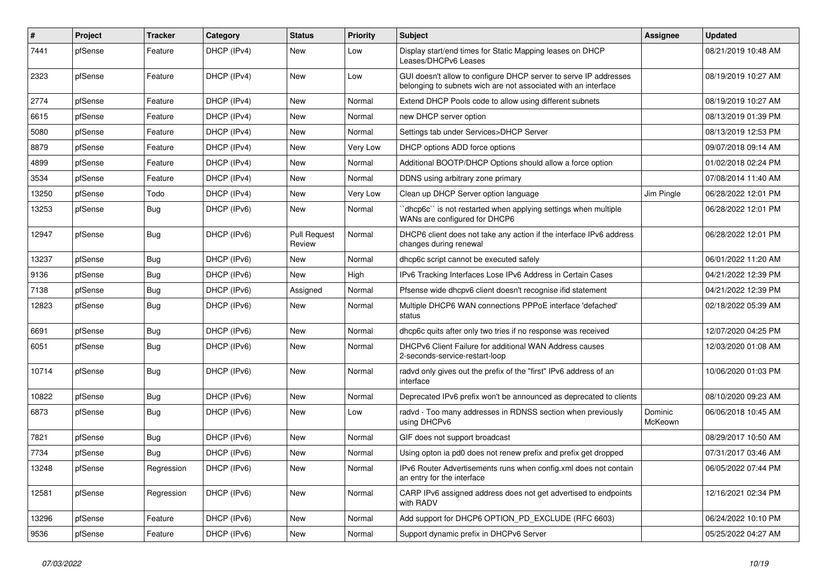| $\sharp$ | Project | <b>Tracker</b> | Category    | <b>Status</b>                 | <b>Priority</b> | <b>Subject</b>                                                                                                                     | <b>Assignee</b>    | <b>Updated</b>      |
|----------|---------|----------------|-------------|-------------------------------|-----------------|------------------------------------------------------------------------------------------------------------------------------------|--------------------|---------------------|
| 7441     | pfSense | Feature        | DHCP (IPv4) | New                           | Low             | Display start/end times for Static Mapping leases on DHCP<br>Leases/DHCPv6 Leases                                                  |                    | 08/21/2019 10:48 AM |
| 2323     | pfSense | Feature        | DHCP (IPv4) | New                           | Low             | GUI doesn't allow to configure DHCP server to serve IP addresses<br>belonging to subnets wich are not associated with an interface |                    | 08/19/2019 10:27 AM |
| 2774     | pfSense | Feature        | DHCP (IPv4) | <b>New</b>                    | Normal          | Extend DHCP Pools code to allow using different subnets                                                                            |                    | 08/19/2019 10:27 AM |
| 6615     | pfSense | Feature        | DHCP (IPv4) | <b>New</b>                    | Normal          | new DHCP server option                                                                                                             |                    | 08/13/2019 01:39 PM |
| 5080     | pfSense | Feature        | DHCP (IPv4) | New                           | Normal          | Settings tab under Services>DHCP Server                                                                                            |                    | 08/13/2019 12:53 PM |
| 8879     | pfSense | Feature        | DHCP (IPv4) | <b>New</b>                    | Very Low        | DHCP options ADD force options                                                                                                     |                    | 09/07/2018 09:14 AM |
| 4899     | pfSense | Feature        | DHCP (IPv4) | <b>New</b>                    | Normal          | Additional BOOTP/DHCP Options should allow a force option                                                                          |                    | 01/02/2018 02:24 PM |
| 3534     | pfSense | Feature        | DHCP (IPv4) | <b>New</b>                    | Normal          | DDNS using arbitrary zone primary                                                                                                  |                    | 07/08/2014 11:40 AM |
| 13250    | pfSense | Todo           | DHCP (IPv4) | <b>New</b>                    | Very Low        | Clean up DHCP Server option language                                                                                               | Jim Pingle         | 06/28/2022 12:01 PM |
| 13253    | pfSense | <b>Bug</b>     | DHCP (IPv6) | New                           | Normal          | dhcp6c" is not restarted when applying settings when multiple<br>WANs are configured for DHCP6                                     |                    | 06/28/2022 12:01 PM |
| 12947    | pfSense | Bug            | DHCP (IPv6) | <b>Pull Request</b><br>Review | Normal          | DHCP6 client does not take any action if the interface IPv6 address<br>changes during renewal                                      |                    | 06/28/2022 12:01 PM |
| 13237    | pfSense | Bug            | DHCP (IPv6) | <b>New</b>                    | Normal          | dhcp6c script cannot be executed safely                                                                                            |                    | 06/01/2022 11:20 AM |
| 9136     | pfSense | Bug            | DHCP (IPv6) | <b>New</b>                    | High            | IPv6 Tracking Interfaces Lose IPv6 Address in Certain Cases                                                                        |                    | 04/21/2022 12:39 PM |
| 7138     | pfSense | <b>Bug</b>     | DHCP (IPv6) | Assigned                      | Normal          | Pfsense wide dhcpv6 client doesn't recognise ifid statement                                                                        |                    | 04/21/2022 12:39 PM |
| 12823    | pfSense | Bug            | DHCP (IPv6) | <b>New</b>                    | Normal          | Multiple DHCP6 WAN connections PPPoE interface 'defached'<br>status                                                                |                    | 02/18/2022 05:39 AM |
| 6691     | pfSense | Bug            | DHCP (IPv6) | New                           | Normal          | dhcp6c quits after only two tries if no response was received                                                                      |                    | 12/07/2020 04:25 PM |
| 6051     | pfSense | <b>Bug</b>     | DHCP (IPv6) | New                           | Normal          | DHCPv6 Client Failure for additional WAN Address causes<br>2-seconds-service-restart-loop                                          |                    | 12/03/2020 01:08 AM |
| 10714    | pfSense | Bug            | DHCP (IPv6) | <b>New</b>                    | Normal          | radvd only gives out the prefix of the "first" IPv6 address of an<br>interface                                                     |                    | 10/06/2020 01:03 PM |
| 10822    | pfSense | <b>Bug</b>     | DHCP (IPv6) | <b>New</b>                    | Normal          | Deprecated IPv6 prefix won't be announced as deprecated to clients                                                                 |                    | 08/10/2020 09:23 AM |
| 6873     | pfSense | <b>Bug</b>     | DHCP (IPv6) | <b>New</b>                    | Low             | radvd - Too many addresses in RDNSS section when previously<br>using DHCPv6                                                        | Dominic<br>McKeown | 06/06/2018 10:45 AM |
| 7821     | pfSense | Bug            | DHCP (IPv6) | New                           | Normal          | GIF does not support broadcast                                                                                                     |                    | 08/29/2017 10:50 AM |
| 7734     | pfSense | <b>Bug</b>     | DHCP (IPv6) | New                           | Normal          | Using opton ia pd0 does not renew prefix and prefix get dropped                                                                    |                    | 07/31/2017 03:46 AM |
| 13248    | pfSense | Regression     | DHCP (IPv6) | New                           | Normal          | IPv6 Router Advertisements runs when config.xml does not contain<br>an entry for the interface                                     |                    | 06/05/2022 07:44 PM |
| 12581    | pfSense | Regression     | DHCP (IPv6) | <b>New</b>                    | Normal          | CARP IPv6 assigned address does not get advertised to endpoints<br>with RADV                                                       |                    | 12/16/2021 02:34 PM |
| 13296    | pfSense | Feature        | DHCP (IPv6) | <b>New</b>                    | Normal          | Add support for DHCP6 OPTION_PD_EXCLUDE (RFC 6603)                                                                                 |                    | 06/24/2022 10:10 PM |
| 9536     | pfSense | Feature        | DHCP (IPv6) | <b>New</b>                    | Normal          | Support dynamic prefix in DHCPv6 Server                                                                                            |                    | 05/25/2022 04:27 AM |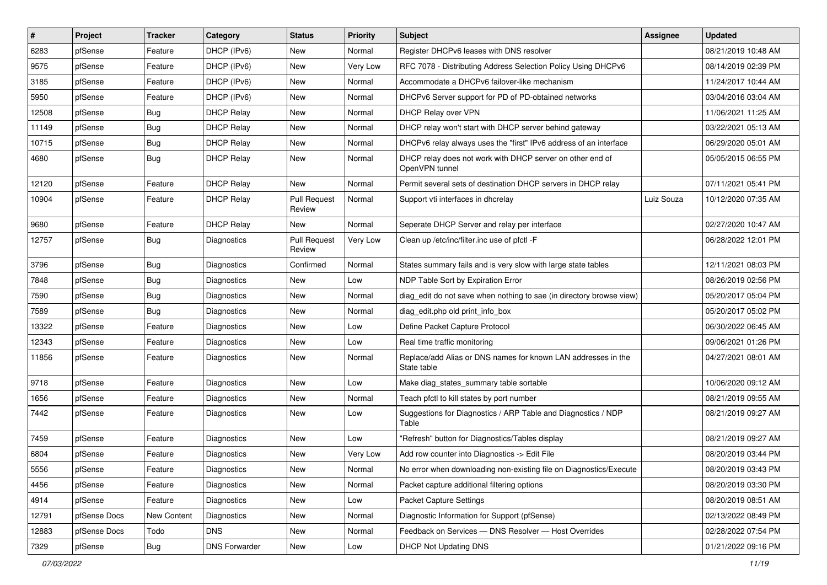| #     | Project      | <b>Tracker</b> | Category             | <b>Status</b>                 | <b>Priority</b> | Subject                                                                      | Assignee   | <b>Updated</b>      |
|-------|--------------|----------------|----------------------|-------------------------------|-----------------|------------------------------------------------------------------------------|------------|---------------------|
| 6283  | pfSense      | Feature        | DHCP (IPv6)          | New                           | Normal          | Register DHCPv6 leases with DNS resolver                                     |            | 08/21/2019 10:48 AM |
| 9575  | pfSense      | Feature        | DHCP (IPv6)          | New                           | Very Low        | RFC 7078 - Distributing Address Selection Policy Using DHCPv6                |            | 08/14/2019 02:39 PM |
| 3185  | pfSense      | Feature        | DHCP (IPv6)          | New                           | Normal          | Accommodate a DHCPv6 failover-like mechanism                                 |            | 11/24/2017 10:44 AM |
| 5950  | pfSense      | Feature        | DHCP (IPv6)          | New                           | Normal          | DHCPv6 Server support for PD of PD-obtained networks                         |            | 03/04/2016 03:04 AM |
| 12508 | pfSense      | Bug            | <b>DHCP Relay</b>    | New                           | Normal          | DHCP Relay over VPN                                                          |            | 11/06/2021 11:25 AM |
| 11149 | pfSense      | Bug            | <b>DHCP Relay</b>    | New                           | Normal          | DHCP relay won't start with DHCP server behind gateway                       |            | 03/22/2021 05:13 AM |
| 10715 | pfSense      | Bug            | <b>DHCP Relay</b>    | New                           | Normal          | DHCPv6 relay always uses the "first" IPv6 address of an interface            |            | 06/29/2020 05:01 AM |
| 4680  | pfSense      | Bug            | <b>DHCP Relay</b>    | New                           | Normal          | DHCP relay does not work with DHCP server on other end of<br>OpenVPN tunnel  |            | 05/05/2015 06:55 PM |
| 12120 | pfSense      | Feature        | <b>DHCP Relay</b>    | <b>New</b>                    | Normal          | Permit several sets of destination DHCP servers in DHCP relay                |            | 07/11/2021 05:41 PM |
| 10904 | pfSense      | Feature        | <b>DHCP Relay</b>    | <b>Pull Request</b><br>Review | Normal          | Support vti interfaces in dhcrelay                                           | Luiz Souza | 10/12/2020 07:35 AM |
| 9680  | pfSense      | Feature        | <b>DHCP Relay</b>    | New                           | Normal          | Seperate DHCP Server and relay per interface                                 |            | 02/27/2020 10:47 AM |
| 12757 | pfSense      | Bug            | <b>Diagnostics</b>   | <b>Pull Request</b><br>Review | Very Low        | Clean up /etc/inc/filter.inc use of pfctl -F                                 |            | 06/28/2022 12:01 PM |
| 3796  | pfSense      | <b>Bug</b>     | <b>Diagnostics</b>   | Confirmed                     | Normal          | States summary fails and is very slow with large state tables                |            | 12/11/2021 08:03 PM |
| 7848  | pfSense      | Bug            | Diagnostics          | New                           | Low             | NDP Table Sort by Expiration Error                                           |            | 08/26/2019 02:56 PM |
| 7590  | pfSense      | Bug            | <b>Diagnostics</b>   | New                           | Normal          | diag_edit do not save when nothing to sae (in directory browse view)         |            | 05/20/2017 05:04 PM |
| 7589  | pfSense      | <b>Bug</b>     | Diagnostics          | New                           | Normal          | diag edit.php old print info box                                             |            | 05/20/2017 05:02 PM |
| 13322 | pfSense      | Feature        | Diagnostics          | New                           | Low             | Define Packet Capture Protocol                                               |            | 06/30/2022 06:45 AM |
| 12343 | pfSense      | Feature        | Diagnostics          | New                           | Low             | Real time traffic monitoring                                                 |            | 09/06/2021 01:26 PM |
| 11856 | pfSense      | Feature        | Diagnostics          | New                           | Normal          | Replace/add Alias or DNS names for known LAN addresses in the<br>State table |            | 04/27/2021 08:01 AM |
| 9718  | pfSense      | Feature        | Diagnostics          | New                           | Low             | Make diag_states_summary table sortable                                      |            | 10/06/2020 09:12 AM |
| 1656  | pfSense      | Feature        | Diagnostics          | New                           | Normal          | Teach pfctl to kill states by port number                                    |            | 08/21/2019 09:55 AM |
| 7442  | pfSense      | Feature        | Diagnostics          | New                           | Low             | Suggestions for Diagnostics / ARP Table and Diagnostics / NDP<br>Table       |            | 08/21/2019 09:27 AM |
| 7459  | pfSense      | Feature        | Diagnostics          | New                           | Low             | "Refresh" button for Diagnostics/Tables display                              |            | 08/21/2019 09:27 AM |
| 6804  | pfSense      | Feature        | Diagnostics          | New                           | Very Low        | Add row counter into Diagnostics -> Edit File                                |            | 08/20/2019 03:44 PM |
| 5556  | pfSense      | Feature        | Diagnostics          | New                           | Normal          | No error when downloading non-existing file on Diagnostics/Execute           |            | 08/20/2019 03:43 PM |
| 4456  | pfSense      | Feature        | Diagnostics          | New                           | Normal          | Packet capture additional filtering options                                  |            | 08/20/2019 03:30 PM |
| 4914  | pfSense      | Feature        | Diagnostics          | New                           | Low             | Packet Capture Settings                                                      |            | 08/20/2019 08:51 AM |
| 12791 | pfSense Docs | New Content    | Diagnostics          | New                           | Normal          | Diagnostic Information for Support (pfSense)                                 |            | 02/13/2022 08:49 PM |
| 12883 | pfSense Docs | Todo           | <b>DNS</b>           | New                           | Normal          | Feedback on Services - DNS Resolver - Host Overrides                         |            | 02/28/2022 07:54 PM |
| 7329  | pfSense      | <b>Bug</b>     | <b>DNS Forwarder</b> | New                           | Low             | DHCP Not Updating DNS                                                        |            | 01/21/2022 09:16 PM |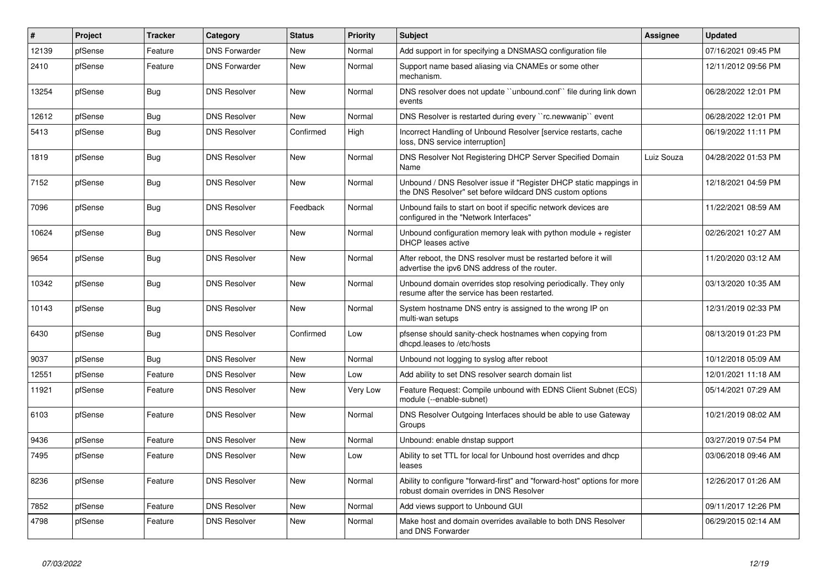| $\sharp$ | Project | <b>Tracker</b> | Category             | <b>Status</b> | <b>Priority</b> | Subject                                                                                                                       | <b>Assignee</b> | <b>Updated</b>      |
|----------|---------|----------------|----------------------|---------------|-----------------|-------------------------------------------------------------------------------------------------------------------------------|-----------------|---------------------|
| 12139    | pfSense | Feature        | <b>DNS Forwarder</b> | <b>New</b>    | Normal          | Add support in for specifying a DNSMASQ configuration file                                                                    |                 | 07/16/2021 09:45 PM |
| 2410     | pfSense | Feature        | <b>DNS Forwarder</b> | <b>New</b>    | Normal          | Support name based aliasing via CNAMEs or some other<br>mechanism.                                                            |                 | 12/11/2012 09:56 PM |
| 13254    | pfSense | Bug            | <b>DNS Resolver</b>  | New           | Normal          | DNS resolver does not update "unbound.conf" file during link down<br>events                                                   |                 | 06/28/2022 12:01 PM |
| 12612    | pfSense | <b>Bug</b>     | <b>DNS Resolver</b>  | <b>New</b>    | Normal          | DNS Resolver is restarted during every "rc.newwanip" event                                                                    |                 | 06/28/2022 12:01 PM |
| 5413     | pfSense | Bug            | <b>DNS Resolver</b>  | Confirmed     | High            | Incorrect Handling of Unbound Resolver [service restarts, cache<br>loss, DNS service interruption]                            |                 | 06/19/2022 11:11 PM |
| 1819     | pfSense | <b>Bug</b>     | <b>DNS Resolver</b>  | New           | Normal          | DNS Resolver Not Registering DHCP Server Specified Domain<br>Name                                                             | Luiz Souza      | 04/28/2022 01:53 PM |
| 7152     | pfSense | Bug            | <b>DNS Resolver</b>  | New           | Normal          | Unbound / DNS Resolver issue if "Register DHCP static mappings in<br>the DNS Resolver" set before wildcard DNS custom options |                 | 12/18/2021 04:59 PM |
| 7096     | pfSense | Bug            | <b>DNS Resolver</b>  | Feedback      | Normal          | Unbound fails to start on boot if specific network devices are<br>configured in the "Network Interfaces"                      |                 | 11/22/2021 08:59 AM |
| 10624    | pfSense | <b>Bug</b>     | <b>DNS Resolver</b>  | <b>New</b>    | Normal          | Unbound configuration memory leak with python module + register<br><b>DHCP</b> leases active                                  |                 | 02/26/2021 10:27 AM |
| 9654     | pfSense | Bug            | <b>DNS Resolver</b>  | <b>New</b>    | Normal          | After reboot, the DNS resolver must be restarted before it will<br>advertise the ipv6 DNS address of the router.              |                 | 11/20/2020 03:12 AM |
| 10342    | pfSense | <b>Bug</b>     | <b>DNS Resolver</b>  | New           | Normal          | Unbound domain overrides stop resolving periodically. They only<br>resume after the service has been restarted.               |                 | 03/13/2020 10:35 AM |
| 10143    | pfSense | Bug            | <b>DNS Resolver</b>  | <b>New</b>    | Normal          | System hostname DNS entry is assigned to the wrong IP on<br>multi-wan setups                                                  |                 | 12/31/2019 02:33 PM |
| 6430     | pfSense | <b>Bug</b>     | <b>DNS Resolver</b>  | Confirmed     | Low             | pfsense should sanity-check hostnames when copying from<br>dhcpd.leases to /etc/hosts                                         |                 | 08/13/2019 01:23 PM |
| 9037     | pfSense | Bug            | <b>DNS Resolver</b>  | <b>New</b>    | Normal          | Unbound not logging to syslog after reboot                                                                                    |                 | 10/12/2018 05:09 AM |
| 12551    | pfSense | Feature        | <b>DNS Resolver</b>  | <b>New</b>    | Low             | Add ability to set DNS resolver search domain list                                                                            |                 | 12/01/2021 11:18 AM |
| 11921    | pfSense | Feature        | <b>DNS Resolver</b>  | New           | Very Low        | Feature Request: Compile unbound with EDNS Client Subnet (ECS)<br>module (--enable-subnet)                                    |                 | 05/14/2021 07:29 AM |
| 6103     | pfSense | Feature        | <b>DNS Resolver</b>  | New           | Normal          | DNS Resolver Outgoing Interfaces should be able to use Gateway<br>Groups                                                      |                 | 10/21/2019 08:02 AM |
| 9436     | pfSense | Feature        | <b>DNS Resolver</b>  | <b>New</b>    | Normal          | Unbound: enable dnstap support                                                                                                |                 | 03/27/2019 07:54 PM |
| 7495     | pfSense | Feature        | <b>DNS Resolver</b>  | New           | Low             | Ability to set TTL for local for Unbound host overrides and dhcp<br>leases                                                    |                 | 03/06/2018 09:46 AM |
| 8236     | pfSense | Feature        | <b>DNS Resolver</b>  | <b>New</b>    | Normal          | Ability to configure "forward-first" and "forward-host" options for more<br>robust domain overrides in DNS Resolver           |                 | 12/26/2017 01:26 AM |
| 7852     | pfSense | Feature        | <b>DNS Resolver</b>  | New           | Normal          | Add views support to Unbound GUI                                                                                              |                 | 09/11/2017 12:26 PM |
| 4798     | pfSense | Feature        | <b>DNS Resolver</b>  | New           | Normal          | Make host and domain overrides available to both DNS Resolver<br>and DNS Forwarder                                            |                 | 06/29/2015 02:14 AM |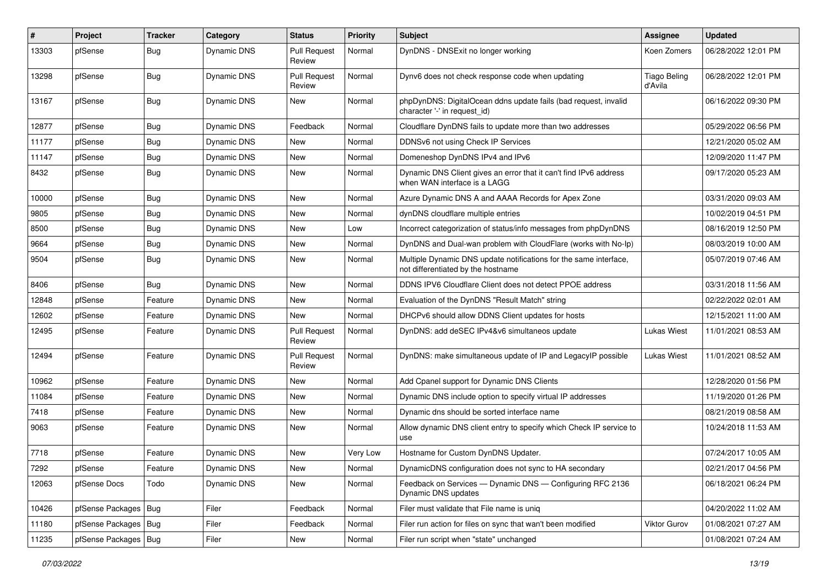| #     | Project                | Tracker    | Category           | <b>Status</b>                 | <b>Priority</b> | <b>Subject</b>                                                                                          | Assignee                       | <b>Updated</b>      |
|-------|------------------------|------------|--------------------|-------------------------------|-----------------|---------------------------------------------------------------------------------------------------------|--------------------------------|---------------------|
| 13303 | pfSense                | <b>Bug</b> | Dynamic DNS        | <b>Pull Request</b><br>Review | Normal          | DynDNS - DNSExit no longer working                                                                      | Koen Zomers                    | 06/28/2022 12:01 PM |
| 13298 | pfSense                | <b>Bug</b> | Dynamic DNS        | <b>Pull Request</b><br>Review | Normal          | Dynv6 does not check response code when updating                                                        | <b>Tiago Beling</b><br>d'Avila | 06/28/2022 12:01 PM |
| 13167 | pfSense                | <b>Bug</b> | Dynamic DNS        | New                           | Normal          | phpDynDNS: DigitalOcean ddns update fails (bad request, invalid<br>character '-' in request id)         |                                | 06/16/2022 09:30 PM |
| 12877 | pfSense                | <b>Bug</b> | Dynamic DNS        | Feedback                      | Normal          | Cloudflare DynDNS fails to update more than two addresses                                               |                                | 05/29/2022 06:56 PM |
| 11177 | pfSense                | <b>Bug</b> | Dynamic DNS        | New                           | Normal          | DDNSv6 not using Check IP Services                                                                      |                                | 12/21/2020 05:02 AM |
| 11147 | pfSense                | Bug        | <b>Dynamic DNS</b> | New                           | Normal          | Domeneshop DynDNS IPv4 and IPv6                                                                         |                                | 12/09/2020 11:47 PM |
| 8432  | pfSense                | <b>Bug</b> | Dynamic DNS        | New                           | Normal          | Dynamic DNS Client gives an error that it can't find IPv6 address<br>when WAN interface is a LAGG       |                                | 09/17/2020 05:23 AM |
| 10000 | pfSense                | Bug        | Dynamic DNS        | New                           | Normal          | Azure Dynamic DNS A and AAAA Records for Apex Zone                                                      |                                | 03/31/2020 09:03 AM |
| 9805  | pfSense                | <b>Bug</b> | Dynamic DNS        | New                           | Normal          | dynDNS cloudflare multiple entries                                                                      |                                | 10/02/2019 04:51 PM |
| 8500  | pfSense                | <b>Bug</b> | Dynamic DNS        | New                           | Low             | Incorrect categorization of status/info messages from phpDynDNS                                         |                                | 08/16/2019 12:50 PM |
| 9664  | pfSense                | Bug        | Dynamic DNS        | New                           | Normal          | DynDNS and Dual-wan problem with CloudFlare (works with No-Ip)                                          |                                | 08/03/2019 10:00 AM |
| 9504  | pfSense                | <b>Bug</b> | Dynamic DNS        | New                           | Normal          | Multiple Dynamic DNS update notifications for the same interface,<br>not differentiated by the hostname |                                | 05/07/2019 07:46 AM |
| 8406  | pfSense                | <b>Bug</b> | <b>Dynamic DNS</b> | New                           | Normal          | DDNS IPV6 Cloudflare Client does not detect PPOE address                                                |                                | 03/31/2018 11:56 AM |
| 12848 | pfSense                | Feature    | Dynamic DNS        | New                           | Normal          | Evaluation of the DynDNS "Result Match" string                                                          |                                | 02/22/2022 02:01 AM |
| 12602 | pfSense                | Feature    | Dynamic DNS        | New                           | Normal          | DHCPv6 should allow DDNS Client updates for hosts                                                       |                                | 12/15/2021 11:00 AM |
| 12495 | pfSense                | Feature    | Dynamic DNS        | <b>Pull Request</b><br>Review | Normal          | DynDNS: add deSEC IPv4&v6 simultaneos update                                                            | <b>Lukas Wiest</b>             | 11/01/2021 08:53 AM |
| 12494 | pfSense                | Feature    | Dynamic DNS        | <b>Pull Request</b><br>Review | Normal          | DynDNS: make simultaneous update of IP and LegacyIP possible                                            | <b>Lukas Wiest</b>             | 11/01/2021 08:52 AM |
| 10962 | pfSense                | Feature    | Dynamic DNS        | New                           | Normal          | Add Cpanel support for Dynamic DNS Clients                                                              |                                | 12/28/2020 01:56 PM |
| 11084 | pfSense                | Feature    | Dynamic DNS        | New                           | Normal          | Dynamic DNS include option to specify virtual IP addresses                                              |                                | 11/19/2020 01:26 PM |
| 7418  | pfSense                | Feature    | Dynamic DNS        | New                           | Normal          | Dynamic dns should be sorted interface name                                                             |                                | 08/21/2019 08:58 AM |
| 9063  | pfSense                | Feature    | Dynamic DNS        | New                           | Normal          | Allow dynamic DNS client entry to specify which Check IP service to<br>use                              |                                | 10/24/2018 11:53 AM |
| 7718  | pfSense                | Feature    | Dynamic DNS        | New                           | Very Low        | Hostname for Custom DynDNS Updater.                                                                     |                                | 07/24/2017 10:05 AM |
| 7292  | pfSense                | Feature    | Dynamic DNS        | New                           | Normal          | DynamicDNS configuration does not sync to HA secondary                                                  |                                | 02/21/2017 04:56 PM |
| 12063 | pfSense Docs           | Todo       | Dynamic DNS        | New                           | Normal          | Feedback on Services - Dynamic DNS - Configuring RFC 2136<br>Dynamic DNS updates                        |                                | 06/18/2021 06:24 PM |
| 10426 | pfSense Packages   Bug |            | Filer              | Feedback                      | Normal          | Filer must validate that File name is uniq                                                              |                                | 04/20/2022 11:02 AM |
| 11180 | pfSense Packages   Bug |            | Filer              | Feedback                      | Normal          | Filer run action for files on sync that wan't been modified                                             | Viktor Gurov                   | 01/08/2021 07:27 AM |
| 11235 | pfSense Packages   Bug |            | Filer              | New                           | Normal          | Filer run script when "state" unchanged                                                                 |                                | 01/08/2021 07:24 AM |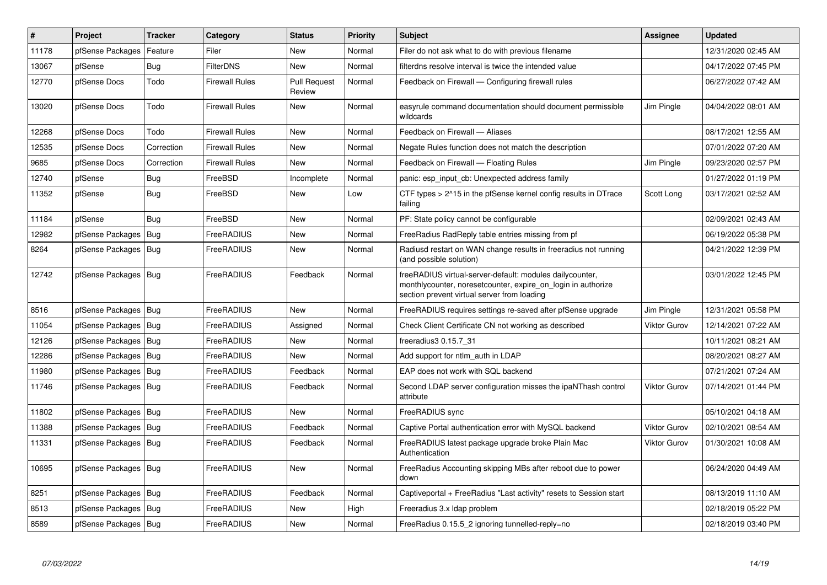| $\pmb{\#}$ | <b>Project</b>         | <b>Tracker</b> | Category              | <b>Status</b>                 | Priority | <b>Subject</b>                                                                                                                                                           | <b>Assignee</b>     | <b>Updated</b>      |
|------------|------------------------|----------------|-----------------------|-------------------------------|----------|--------------------------------------------------------------------------------------------------------------------------------------------------------------------------|---------------------|---------------------|
| 11178      | pfSense Packages       | Feature        | Filer                 | <b>New</b>                    | Normal   | Filer do not ask what to do with previous filename                                                                                                                       |                     | 12/31/2020 02:45 AM |
| 13067      | pfSense                | Bug            | <b>FilterDNS</b>      | <b>New</b>                    | Normal   | filterdns resolve interval is twice the intended value                                                                                                                   |                     | 04/17/2022 07:45 PM |
| 12770      | pfSense Docs           | Todo           | <b>Firewall Rules</b> | <b>Pull Request</b><br>Review | Normal   | Feedback on Firewall — Configuring firewall rules                                                                                                                        |                     | 06/27/2022 07:42 AM |
| 13020      | pfSense Docs           | Todo           | <b>Firewall Rules</b> | New                           | Normal   | easyrule command documentation should document permissible<br>wildcards                                                                                                  | Jim Pingle          | 04/04/2022 08:01 AM |
| 12268      | pfSense Docs           | Todo           | <b>Firewall Rules</b> | New                           | Normal   | Feedback on Firewall - Aliases                                                                                                                                           |                     | 08/17/2021 12:55 AM |
| 12535      | pfSense Docs           | Correction     | <b>Firewall Rules</b> | <b>New</b>                    | Normal   | Negate Rules function does not match the description                                                                                                                     |                     | 07/01/2022 07:20 AM |
| 9685       | pfSense Docs           | Correction     | <b>Firewall Rules</b> | New                           | Normal   | Feedback on Firewall - Floating Rules                                                                                                                                    | Jim Pingle          | 09/23/2020 02:57 PM |
| 12740      | pfSense                | <b>Bug</b>     | FreeBSD               | Incomplete                    | Normal   | panic: esp input cb: Unexpected address family                                                                                                                           |                     | 01/27/2022 01:19 PM |
| 11352      | pfSense                | <b>Bug</b>     | FreeBSD               | New                           | Low      | CTF types > 2^15 in the pfSense kernel config results in DTrace<br>failing                                                                                               | Scott Long          | 03/17/2021 02:52 AM |
| 11184      | pfSense                | Bug            | FreeBSD               | New                           | Normal   | PF: State policy cannot be configurable                                                                                                                                  |                     | 02/09/2021 02:43 AM |
| 12982      | pfSense Packages       | <b>Bug</b>     | FreeRADIUS            | New                           | Normal   | FreeRadius RadReply table entries missing from pf                                                                                                                        |                     | 06/19/2022 05:38 PM |
| 8264       | pfSense Packages   Bug |                | FreeRADIUS            | <b>New</b>                    | Normal   | Radiusd restart on WAN change results in freeradius not running<br>(and possible solution)                                                                               |                     | 04/21/2022 12:39 PM |
| 12742      | pfSense Packages   Bug |                | FreeRADIUS            | Feedback                      | Normal   | freeRADIUS virtual-server-default: modules dailycounter,<br>monthlycounter, noreset counter, expire on login in authorize<br>section prevent virtual server from loading |                     | 03/01/2022 12:45 PM |
| 8516       | pfSense Packages       | Bug            | FreeRADIUS            | <b>New</b>                    | Normal   | FreeRADIUS requires settings re-saved after pfSense upgrade                                                                                                              | Jim Pingle          | 12/31/2021 05:58 PM |
| 11054      | pfSense Packages       | Bug            | FreeRADIUS            | Assigned                      | Normal   | Check Client Certificate CN not working as described                                                                                                                     | <b>Viktor Gurov</b> | 12/14/2021 07:22 AM |
| 12126      | pfSense Packages       | Bug            | FreeRADIUS            | New                           | Normal   | freeradius3 0.15.7 31                                                                                                                                                    |                     | 10/11/2021 08:21 AM |
| 12286      | pfSense Packages       | Bug            | FreeRADIUS            | <b>New</b>                    | Normal   | Add support for ntlm auth in LDAP                                                                                                                                        |                     | 08/20/2021 08:27 AM |
| 11980      | pfSense Packages       | Bug            | FreeRADIUS            | Feedback                      | Normal   | EAP does not work with SQL backend                                                                                                                                       |                     | 07/21/2021 07:24 AM |
| 11746      | pfSense Packages       | Bug            | FreeRADIUS            | Feedback                      | Normal   | Second LDAP server configuration misses the ipaNThash control<br>attribute                                                                                               | <b>Viktor Gurov</b> | 07/14/2021 01:44 PM |
| 11802      | pfSense Packages       | Bug            | FreeRADIUS            | <b>New</b>                    | Normal   | FreeRADIUS sync                                                                                                                                                          |                     | 05/10/2021 04:18 AM |
| 11388      | pfSense Packages       | Bug            | FreeRADIUS            | Feedback                      | Normal   | Captive Portal authentication error with MySQL backend                                                                                                                   | <b>Viktor Gurov</b> | 02/10/2021 08:54 AM |
| 11331      | pfSense Packages       | Bug            | FreeRADIUS            | Feedback                      | Normal   | FreeRADIUS latest package upgrade broke Plain Mac<br>Authentication                                                                                                      | <b>Viktor Gurov</b> | 01/30/2021 10:08 AM |
| 10695      | pfSense Packages       | Bug            | FreeRADIUS            | <b>New</b>                    | Normal   | FreeRadius Accounting skipping MBs after reboot due to power<br>down                                                                                                     |                     | 06/24/2020 04:49 AM |
| 8251       | pfSense Packages   Bug |                | FreeRADIUS            | Feedback                      | Normal   | Captiveportal + FreeRadius "Last activity" resets to Session start                                                                                                       |                     | 08/13/2019 11:10 AM |
| 8513       | pfSense Packages       | l Bug          | FreeRADIUS            | <b>New</b>                    | High     | Freeradius 3.x Idap problem                                                                                                                                              |                     | 02/18/2019 05:22 PM |
| 8589       | pfSense Packages   Bug |                | FreeRADIUS            | <b>New</b>                    | Normal   | FreeRadius 0.15.5 2 ignoring tunnelled-reply=no                                                                                                                          |                     | 02/18/2019 03:40 PM |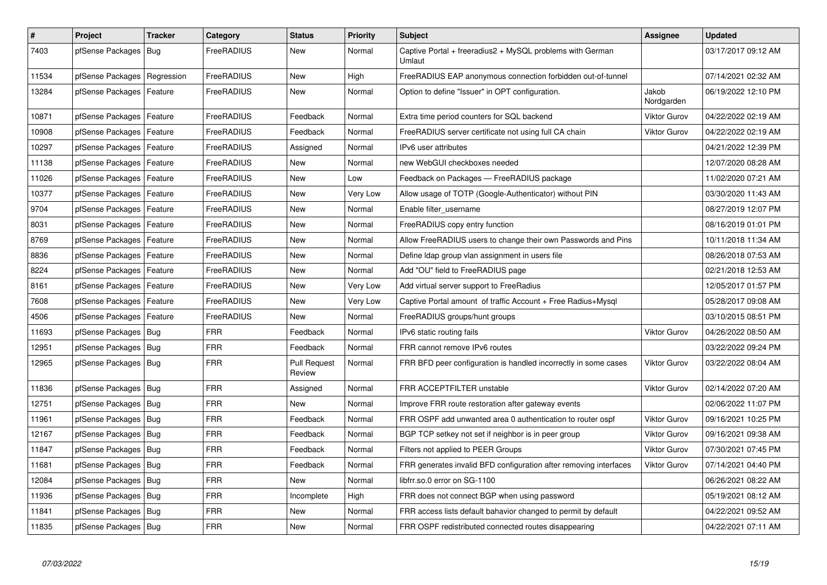| $\pmb{\#}$ | Project                    | <b>Tracker</b> | Category   | <b>Status</b>                 | <b>Priority</b> | <b>Subject</b>                                                      | Assignee            | <b>Updated</b>      |
|------------|----------------------------|----------------|------------|-------------------------------|-----------------|---------------------------------------------------------------------|---------------------|---------------------|
| 7403       | pfSense Packages           | <b>Bug</b>     | FreeRADIUS | New                           | Normal          | Captive Portal + freeradius2 + MySQL problems with German<br>Umlaut |                     | 03/17/2017 09:12 AM |
| 11534      | pfSense Packages           | Regression     | FreeRADIUS | New                           | High            | FreeRADIUS EAP anonymous connection forbidden out-of-tunnel         |                     | 07/14/2021 02:32 AM |
| 13284      | pfSense Packages           | Feature        | FreeRADIUS | <b>New</b>                    | Normal          | Option to define "Issuer" in OPT configuration.                     | Jakob<br>Nordgarden | 06/19/2022 12:10 PM |
| 10871      | pfSense Packages   Feature |                | FreeRADIUS | Feedback                      | Normal          | Extra time period counters for SQL backend                          | <b>Viktor Gurov</b> | 04/22/2022 02:19 AM |
| 10908      | pfSense Packages           | Feature        | FreeRADIUS | Feedback                      | Normal          | FreeRADIUS server certificate not using full CA chain               | <b>Viktor Gurov</b> | 04/22/2022 02:19 AM |
| 10297      | pfSense Packages           | Feature        | FreeRADIUS | Assigned                      | Normal          | IPv6 user attributes                                                |                     | 04/21/2022 12:39 PM |
| 11138      | pfSense Packages           | Feature        | FreeRADIUS | New                           | Normal          | new WebGUI checkboxes needed                                        |                     | 12/07/2020 08:28 AM |
| 11026      | pfSense Packages           | Feature        | FreeRADIUS | <b>New</b>                    | Low             | Feedback on Packages - FreeRADIUS package                           |                     | 11/02/2020 07:21 AM |
| 10377      | pfSense Packages   Feature |                | FreeRADIUS | New                           | Very Low        | Allow usage of TOTP (Google-Authenticator) without PIN              |                     | 03/30/2020 11:43 AM |
| 9704       | pfSense Packages   Feature |                | FreeRADIUS | New                           | Normal          | Enable filter_username                                              |                     | 08/27/2019 12:07 PM |
| 8031       | pfSense Packages   Feature |                | FreeRADIUS | New                           | Normal          | FreeRADIUS copy entry function                                      |                     | 08/16/2019 01:01 PM |
| 8769       | pfSense Packages   Feature |                | FreeRADIUS | New                           | Normal          | Allow FreeRADIUS users to change their own Passwords and Pins       |                     | 10/11/2018 11:34 AM |
| 8836       | pfSense Packages           | Feature        | FreeRADIUS | New                           | Normal          | Define Idap group vlan assignment in users file                     |                     | 08/26/2018 07:53 AM |
| 8224       | pfSense Packages           | Feature        | FreeRADIUS | New                           | Normal          | Add "OU" field to FreeRADIUS page                                   |                     | 02/21/2018 12:53 AM |
| 8161       | pfSense Packages           | Feature        | FreeRADIUS | New                           | Very Low        | Add virtual server support to FreeRadius                            |                     | 12/05/2017 01:57 PM |
| 7608       | pfSense Packages           | Feature        | FreeRADIUS | New                           | Very Low        | Captive Portal amount of traffic Account + Free Radius+Mysql        |                     | 05/28/2017 09:08 AM |
| 4506       | pfSense Packages   Feature |                | FreeRADIUS | New                           | Normal          | FreeRADIUS groups/hunt groups                                       |                     | 03/10/2015 08:51 PM |
| 11693      | pfSense Packages   Bug     |                | <b>FRR</b> | Feedback                      | Normal          | IPv6 static routing fails                                           | <b>Viktor Gurov</b> | 04/26/2022 08:50 AM |
| 12951      | pfSense Packages   Bug     |                | <b>FRR</b> | Feedback                      | Normal          | FRR cannot remove IPv6 routes                                       |                     | 03/22/2022 09:24 PM |
| 12965      | pfSense Packages   Bug     |                | <b>FRR</b> | <b>Pull Request</b><br>Review | Normal          | FRR BFD peer configuration is handled incorrectly in some cases     | <b>Viktor Gurov</b> | 03/22/2022 08:04 AM |
| 11836      | pfSense Packages   Bug     |                | <b>FRR</b> | Assigned                      | Normal          | FRR ACCEPTFILTER unstable                                           | <b>Viktor Gurov</b> | 02/14/2022 07:20 AM |
| 12751      | pfSense Packages   Bug     |                | <b>FRR</b> | New                           | Normal          | Improve FRR route restoration after gateway events                  |                     | 02/06/2022 11:07 PM |
| 11961      | pfSense Packages   Bug     |                | <b>FRR</b> | Feedback                      | Normal          | FRR OSPF add unwanted area 0 authentication to router ospf          | <b>Viktor Gurov</b> | 09/16/2021 10:25 PM |
| 12167      | pfSense Packages   Bug     |                | <b>FRR</b> | Feedback                      | Normal          | BGP TCP setkey not set if neighbor is in peer group                 | <b>Viktor Gurov</b> | 09/16/2021 09:38 AM |
| 11847      | pfSense Packages   Bug     |                | <b>FRR</b> | Feedback                      | Normal          | Filters not applied to PEER Groups                                  | <b>Viktor Gurov</b> | 07/30/2021 07:45 PM |
| 11681      | pfSense Packages   Bug     |                | <b>FRR</b> | Feedback                      | Normal          | FRR generates invalid BFD configuration after removing interfaces   | <b>Viktor Gurov</b> | 07/14/2021 04:40 PM |
| 12084      | pfSense Packages   Bug     |                | <b>FRR</b> | New                           | Normal          | libfrr.so.0 error on SG-1100                                        |                     | 06/26/2021 08:22 AM |
| 11936      | pfSense Packages   Bug     |                | <b>FRR</b> | Incomplete                    | High            | FRR does not connect BGP when using password                        |                     | 05/19/2021 08:12 AM |
| 11841      | pfSense Packages   Bug     |                | FRR        | New                           | Normal          | FRR access lists default bahavior changed to permit by default      |                     | 04/22/2021 09:52 AM |
| 11835      | pfSense Packages   Bug     |                | <b>FRR</b> | New                           | Normal          | FRR OSPF redistributed connected routes disappearing                |                     | 04/22/2021 07:11 AM |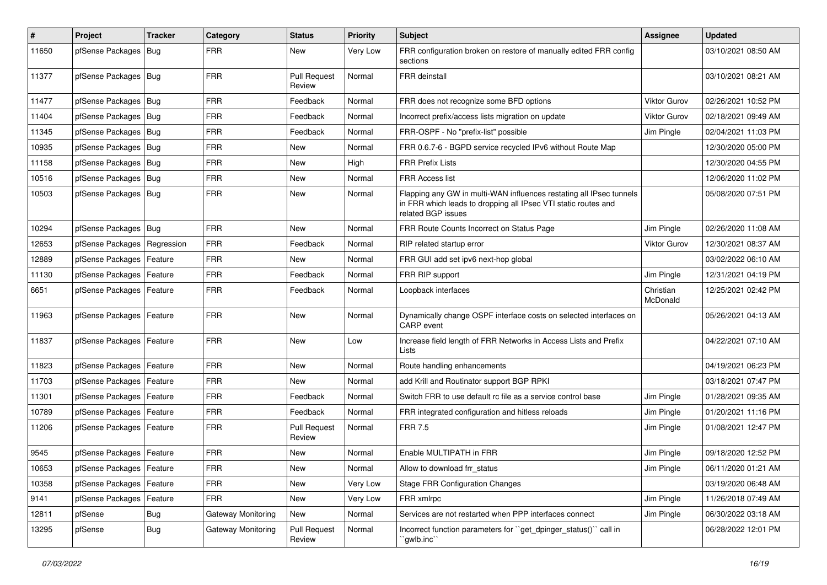| ∦     | Project                       | <b>Tracker</b> | Category           | <b>Status</b>                 | <b>Priority</b> | <b>Subject</b>                                                                                                                                              | <b>Assignee</b>       | <b>Updated</b>      |
|-------|-------------------------------|----------------|--------------------|-------------------------------|-----------------|-------------------------------------------------------------------------------------------------------------------------------------------------------------|-----------------------|---------------------|
| 11650 | pfSense Packages              | Bug            | <b>FRR</b>         | New                           | Very Low        | FRR configuration broken on restore of manually edited FRR config<br>sections                                                                               |                       | 03/10/2021 08:50 AM |
| 11377 | pfSense Packages   Bug        |                | <b>FRR</b>         | <b>Pull Request</b><br>Review | Normal          | FRR deinstall                                                                                                                                               |                       | 03/10/2021 08:21 AM |
| 11477 | pfSense Packages   Bug        |                | <b>FRR</b>         | Feedback                      | Normal          | FRR does not recognize some BFD options                                                                                                                     | Viktor Gurov          | 02/26/2021 10:52 PM |
| 11404 | pfSense Packages              | Bug            | <b>FRR</b>         | Feedback                      | Normal          | Incorrect prefix/access lists migration on update                                                                                                           | <b>Viktor Gurov</b>   | 02/18/2021 09:49 AM |
| 11345 | pfSense Packages   Bug        |                | <b>FRR</b>         | Feedback                      | Normal          | FRR-OSPF - No "prefix-list" possible                                                                                                                        | Jim Pingle            | 02/04/2021 11:03 PM |
| 10935 | pfSense Packages   Bug        |                | <b>FRR</b>         | New                           | Normal          | FRR 0.6.7-6 - BGPD service recycled IPv6 without Route Map                                                                                                  |                       | 12/30/2020 05:00 PM |
| 11158 | pfSense Packages   Bug        |                | <b>FRR</b>         | New                           | High            | <b>FRR Prefix Lists</b>                                                                                                                                     |                       | 12/30/2020 04:55 PM |
| 10516 | pfSense Packages              | Bug            | <b>FRR</b>         | New                           | Normal          | FRR Access list                                                                                                                                             |                       | 12/06/2020 11:02 PM |
| 10503 | pfSense Packages   Bug        |                | <b>FRR</b>         | New                           | Normal          | Flapping any GW in multi-WAN influences restating all IPsec tunnels<br>in FRR which leads to dropping all IPsec VTI static routes and<br>related BGP issues |                       | 05/08/2020 07:51 PM |
| 10294 | pfSense Packages              | Bug            | <b>FRR</b>         | <b>New</b>                    | Normal          | FRR Route Counts Incorrect on Status Page                                                                                                                   | Jim Pingle            | 02/26/2020 11:08 AM |
| 12653 | pfSense Packages   Regression |                | <b>FRR</b>         | Feedback                      | Normal          | RIP related startup error                                                                                                                                   | Viktor Gurov          | 12/30/2021 08:37 AM |
| 12889 | pfSense Packages   Feature    |                | <b>FRR</b>         | New                           | Normal          | FRR GUI add set ipv6 next-hop global                                                                                                                        |                       | 03/02/2022 06:10 AM |
| 11130 | pfSense Packages   Feature    |                | <b>FRR</b>         | Feedback                      | Normal          | FRR RIP support                                                                                                                                             | Jim Pingle            | 12/31/2021 04:19 PM |
| 6651  | pfSense Packages   Feature    |                | <b>FRR</b>         | Feedback                      | Normal          | Loopback interfaces                                                                                                                                         | Christian<br>McDonald | 12/25/2021 02:42 PM |
| 11963 | pfSense Packages   Feature    |                | <b>FRR</b>         | New                           | Normal          | Dynamically change OSPF interface costs on selected interfaces on<br>CARP event                                                                             |                       | 05/26/2021 04:13 AM |
| 11837 | pfSense Packages   Feature    |                | <b>FRR</b>         | New                           | Low             | Increase field length of FRR Networks in Access Lists and Prefix<br>Lists                                                                                   |                       | 04/22/2021 07:10 AM |
| 11823 | pfSense Packages   Feature    |                | <b>FRR</b>         | <b>New</b>                    | Normal          | Route handling enhancements                                                                                                                                 |                       | 04/19/2021 06:23 PM |
| 11703 | pfSense Packages              | Feature        | <b>FRR</b>         | New                           | Normal          | add Krill and Routinator support BGP RPKI                                                                                                                   |                       | 03/18/2021 07:47 PM |
| 11301 | pfSense Packages              | Feature        | <b>FRR</b>         | Feedback                      | Normal          | Switch FRR to use default rc file as a service control base                                                                                                 | Jim Pingle            | 01/28/2021 09:35 AM |
| 10789 | pfSense Packages   Feature    |                | <b>FRR</b>         | Feedback                      | Normal          | FRR integrated configuration and hitless reloads                                                                                                            | Jim Pingle            | 01/20/2021 11:16 PM |
| 11206 | pfSense Packages   Feature    |                | <b>FRR</b>         | <b>Pull Request</b><br>Review | Normal          | <b>FRR 7.5</b>                                                                                                                                              | Jim Pingle            | 01/08/2021 12:47 PM |
| 9545  | pfSense Packages   Feature    |                | <b>FRR</b>         | New                           | Normal          | Enable MULTIPATH in FRR                                                                                                                                     | Jim Pingle            | 09/18/2020 12:52 PM |
| 10653 | pfSense Packages   Feature    |                | <b>FRR</b>         | New                           | Normal          | Allow to download frr_status                                                                                                                                | Jim Pingle            | 06/11/2020 01:21 AM |
| 10358 | pfSense Packages   Feature    |                | <b>FRR</b>         | New                           | Very Low        | <b>Stage FRR Configuration Changes</b>                                                                                                                      |                       | 03/19/2020 06:48 AM |
| 9141  | pfSense Packages   Feature    |                | <b>FRR</b>         | New                           | Very Low        | FRR xmlrpc                                                                                                                                                  | Jim Pingle            | 11/26/2018 07:49 AM |
| 12811 | pfSense                       | Bug            | Gateway Monitoring | New                           | Normal          | Services are not restarted when PPP interfaces connect                                                                                                      | Jim Pingle            | 06/30/2022 03:18 AM |
| 13295 | pfSense                       | <b>Bug</b>     | Gateway Monitoring | <b>Pull Request</b><br>Review | Normal          | Incorrect function parameters for "get_dpinger_status()" call in<br>`gwlb.inc``                                                                             |                       | 06/28/2022 12:01 PM |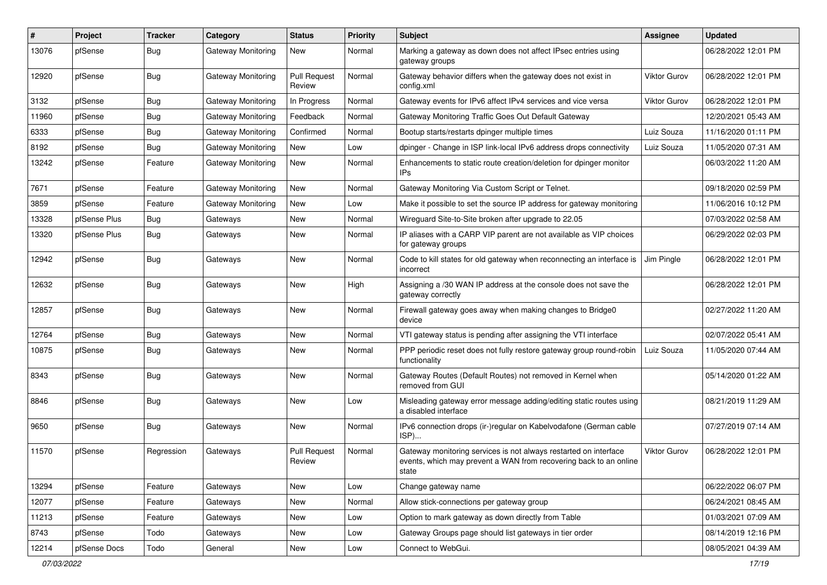| #     | Project      | Tracker    | Category                  | <b>Status</b>                 | <b>Priority</b> | Subject                                                                                                                                        | <b>Assignee</b>     | <b>Updated</b>      |
|-------|--------------|------------|---------------------------|-------------------------------|-----------------|------------------------------------------------------------------------------------------------------------------------------------------------|---------------------|---------------------|
| 13076 | pfSense      | <b>Bug</b> | Gateway Monitoring        | New                           | Normal          | Marking a gateway as down does not affect IPsec entries using<br>gateway groups                                                                |                     | 06/28/2022 12:01 PM |
| 12920 | pfSense      | <b>Bug</b> | Gateway Monitoring        | <b>Pull Request</b><br>Review | Normal          | Gateway behavior differs when the gateway does not exist in<br>config.xml                                                                      | Viktor Gurov        | 06/28/2022 12:01 PM |
| 3132  | pfSense      | <b>Bug</b> | <b>Gateway Monitoring</b> | In Progress                   | Normal          | Gateway events for IPv6 affect IPv4 services and vice versa                                                                                    | <b>Viktor Gurov</b> | 06/28/2022 12:01 PM |
| 11960 | pfSense      | <b>Bug</b> | <b>Gateway Monitoring</b> | Feedback                      | Normal          | Gateway Monitoring Traffic Goes Out Default Gateway                                                                                            |                     | 12/20/2021 05:43 AM |
| 6333  | pfSense      | <b>Bug</b> | Gateway Monitoring        | Confirmed                     | Normal          | Bootup starts/restarts dpinger multiple times                                                                                                  | Luiz Souza          | 11/16/2020 01:11 PM |
| 8192  | pfSense      | <b>Bug</b> | Gateway Monitoring        | New                           | Low             | dpinger - Change in ISP link-local IPv6 address drops connectivity                                                                             | Luiz Souza          | 11/05/2020 07:31 AM |
| 13242 | pfSense      | Feature    | Gateway Monitoring        | New                           | Normal          | Enhancements to static route creation/deletion for dpinger monitor<br>IPs                                                                      |                     | 06/03/2022 11:20 AM |
| 7671  | pfSense      | Feature    | Gateway Monitoring        | New                           | Normal          | Gateway Monitoring Via Custom Script or Telnet.                                                                                                |                     | 09/18/2020 02:59 PM |
| 3859  | pfSense      | Feature    | Gateway Monitoring        | New                           | Low             | Make it possible to set the source IP address for gateway monitoring                                                                           |                     | 11/06/2016 10:12 PM |
| 13328 | pfSense Plus | <b>Bug</b> | Gateways                  | New                           | Normal          | Wireguard Site-to-Site broken after upgrade to 22.05                                                                                           |                     | 07/03/2022 02:58 AM |
| 13320 | pfSense Plus | <b>Bug</b> | Gateways                  | New                           | Normal          | IP aliases with a CARP VIP parent are not available as VIP choices<br>for gateway groups                                                       |                     | 06/29/2022 02:03 PM |
| 12942 | pfSense      | <b>Bug</b> | Gateways                  | New                           | Normal          | Code to kill states for old gateway when reconnecting an interface is<br>incorrect                                                             | Jim Pingle          | 06/28/2022 12:01 PM |
| 12632 | pfSense      | Bug        | Gateways                  | <b>New</b>                    | High            | Assigning a /30 WAN IP address at the console does not save the<br>gateway correctly                                                           |                     | 06/28/2022 12:01 PM |
| 12857 | pfSense      | Bug        | Gateways                  | New                           | Normal          | Firewall gateway goes away when making changes to Bridge0<br>device                                                                            |                     | 02/27/2022 11:20 AM |
| 12764 | pfSense      | <b>Bug</b> | Gateways                  | New                           | Normal          | VTI gateway status is pending after assigning the VTI interface                                                                                |                     | 02/07/2022 05:41 AM |
| 10875 | pfSense      | Bug        | Gateways                  | New                           | Normal          | PPP periodic reset does not fully restore gateway group round-robin<br>functionality                                                           | Luiz Souza          | 11/05/2020 07:44 AM |
| 8343  | pfSense      | <b>Bug</b> | Gateways                  | New                           | Normal          | Gateway Routes (Default Routes) not removed in Kernel when<br>removed from GUI                                                                 |                     | 05/14/2020 01:22 AM |
| 8846  | pfSense      | <b>Bug</b> | Gateways                  | New                           | Low             | Misleading gateway error message adding/editing static routes using<br>a disabled interface                                                    |                     | 08/21/2019 11:29 AM |
| 9650  | pfSense      | <b>Bug</b> | Gateways                  | New                           | Normal          | IPv6 connection drops (ir-)regular on Kabelvodafone (German cable<br>ISP)                                                                      |                     | 07/27/2019 07:14 AM |
| 11570 | pfSense      | Regression | Gateways                  | <b>Pull Request</b><br>Review | Normal          | Gateway monitoring services is not always restarted on interface<br>events, which may prevent a WAN from recovering back to an online<br>state | Viktor Gurov        | 06/28/2022 12:01 PM |
| 13294 | pfSense      | Feature    | Gateways                  | New                           | Low             | Change gateway name                                                                                                                            |                     | 06/22/2022 06:07 PM |
| 12077 | pfSense      | Feature    | Gateways                  | New                           | Normal          | Allow stick-connections per gateway group                                                                                                      |                     | 06/24/2021 08:45 AM |
| 11213 | pfSense      | Feature    | Gateways                  | New                           | Low             | Option to mark gateway as down directly from Table                                                                                             |                     | 01/03/2021 07:09 AM |
| 8743  | pfSense      | Todo       | Gateways                  | New                           | Low             | Gateway Groups page should list gateways in tier order                                                                                         |                     | 08/14/2019 12:16 PM |
| 12214 | pfSense Docs | Todo       | General                   | New                           | Low             | Connect to WebGui.                                                                                                                             |                     | 08/05/2021 04:39 AM |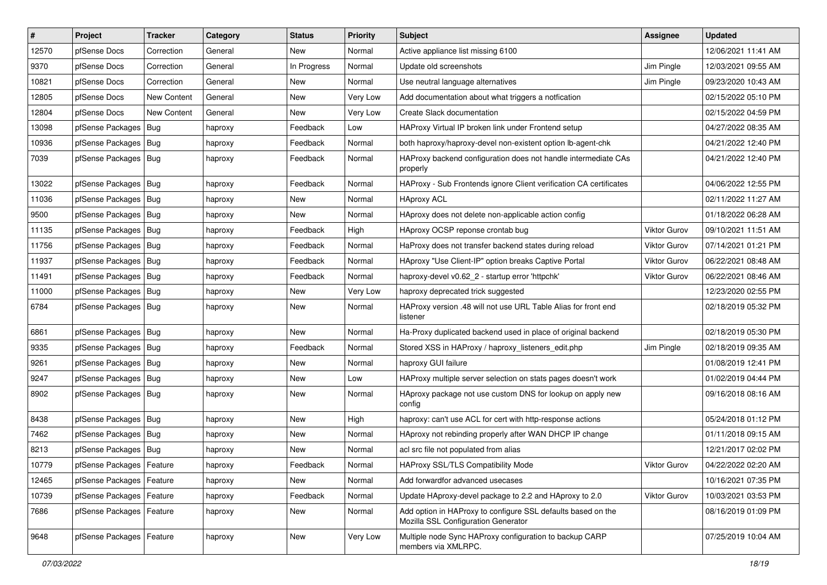| $\vert$ # | Project                    | <b>Tracker</b>     | Category | <b>Status</b> | <b>Priority</b> | Subject                                                                                             | <b>Assignee</b>     | <b>Updated</b>      |
|-----------|----------------------------|--------------------|----------|---------------|-----------------|-----------------------------------------------------------------------------------------------------|---------------------|---------------------|
| 12570     | pfSense Docs               | Correction         | General  | New           | Normal          | Active appliance list missing 6100                                                                  |                     | 12/06/2021 11:41 AM |
| 9370      | pfSense Docs               | Correction         | General  | In Progress   | Normal          | Update old screenshots                                                                              | Jim Pingle          | 12/03/2021 09:55 AM |
| 10821     | pfSense Docs               | Correction         | General  | New           | Normal          | Use neutral language alternatives                                                                   | Jim Pingle          | 09/23/2020 10:43 AM |
| 12805     | pfSense Docs               | <b>New Content</b> | General  | New           | Very Low        | Add documentation about what triggers a notfication                                                 |                     | 02/15/2022 05:10 PM |
| 12804     | pfSense Docs               | New Content        | General  | <b>New</b>    | Very Low        | Create Slack documentation                                                                          |                     | 02/15/2022 04:59 PM |
| 13098     | pfSense Packages           | Bug                | haproxy  | Feedback      | Low             | HAProxy Virtual IP broken link under Frontend setup                                                 |                     | 04/27/2022 08:35 AM |
| 10936     | pfSense Packages   Bug     |                    | haproxy  | Feedback      | Normal          | both haproxy/haproxy-devel non-existent option lb-agent-chk                                         |                     | 04/21/2022 12:40 PM |
| 7039      | pfSense Packages   Bug     |                    | haproxy  | Feedback      | Normal          | HAProxy backend configuration does not handle intermediate CAs<br>properly                          |                     | 04/21/2022 12:40 PM |
| 13022     | pfSense Packages   Bug     |                    | haproxy  | Feedback      | Normal          | HAProxy - Sub Frontends ignore Client verification CA certificates                                  |                     | 04/06/2022 12:55 PM |
| 11036     | pfSense Packages   Bug     |                    | haproxy  | New           | Normal          | <b>HAproxy ACL</b>                                                                                  |                     | 02/11/2022 11:27 AM |
| 9500      | pfSense Packages   Bug     |                    | haproxy  | <b>New</b>    | Normal          | HAproxy does not delete non-applicable action config                                                |                     | 01/18/2022 06:28 AM |
| 11135     | pfSense Packages           | Bug                | haproxy  | Feedback      | High            | HAproxy OCSP reponse crontab bug                                                                    | <b>Viktor Gurov</b> | 09/10/2021 11:51 AM |
| 11756     | pfSense Packages   Bug     |                    | haproxy  | Feedback      | Normal          | HaProxy does not transfer backend states during reload                                              | <b>Viktor Gurov</b> | 07/14/2021 01:21 PM |
| 11937     | pfSense Packages           | Bug                | haproxy  | Feedback      | Normal          | HAproxy "Use Client-IP" option breaks Captive Portal                                                | <b>Viktor Gurov</b> | 06/22/2021 08:48 AM |
| 11491     | pfSense Packages   Bug     |                    | haproxy  | Feedback      | Normal          | haproxy-devel v0.62 2 - startup error 'httpchk'                                                     | <b>Viktor Gurov</b> | 06/22/2021 08:46 AM |
| 11000     | pfSense Packages   Bug     |                    | haproxy  | New           | Very Low        | haproxy deprecated trick suggested                                                                  |                     | 12/23/2020 02:55 PM |
| 6784      | pfSense Packages   Bug     |                    | haproxy  | New           | Normal          | HAProxy version .48 will not use URL Table Alias for front end<br>listener                          |                     | 02/18/2019 05:32 PM |
| 6861      | pfSense Packages   Bug     |                    | haproxy  | New           | Normal          | Ha-Proxy duplicated backend used in place of original backend                                       |                     | 02/18/2019 05:30 PM |
| 9335      | pfSense Packages           | Bug                | haproxy  | Feedback      | Normal          | Stored XSS in HAProxy / haproxy_listeners_edit.php                                                  | Jim Pingle          | 02/18/2019 09:35 AM |
| 9261      | pfSense Packages   Bug     |                    | haproxy  | New           | Normal          | haproxy GUI failure                                                                                 |                     | 01/08/2019 12:41 PM |
| 9247      | pfSense Packages           | Bug                | haproxy  | New           | Low             | HAProxy multiple server selection on stats pages doesn't work                                       |                     | 01/02/2019 04:44 PM |
| 8902      | pfSense Packages   Bug     |                    | haproxy  | New           | Normal          | HAproxy package not use custom DNS for lookup on apply new<br>config                                |                     | 09/16/2018 08:16 AM |
| 8438      | pfSense Packages   Bug     |                    | haproxy  | New           | High            | haproxy: can't use ACL for cert with http-response actions                                          |                     | 05/24/2018 01:12 PM |
| 7462      | pfSense Packages   Bug     |                    | haproxy  | New           | Normal          | HAproxy not rebinding properly after WAN DHCP IP change                                             |                     | 01/11/2018 09:15 AM |
| 8213      | pfSense Packages   Bug     |                    | haproxy  | New           | Normal          | acl src file not populated from alias                                                               |                     | 12/21/2017 02:02 PM |
| 10779     | pfSense Packages   Feature |                    | haproxy  | Feedback      | Normal          | HAProxy SSL/TLS Compatibility Mode                                                                  | Viktor Gurov        | 04/22/2022 02:20 AM |
| 12465     | pfSense Packages   Feature |                    | haproxy  | New           | Normal          | Add forwardfor advanced usecases                                                                    |                     | 10/16/2021 07:35 PM |
| 10739     | pfSense Packages           | Feature            | haproxy  | Feedback      | Normal          | Update HAproxy-devel package to 2.2 and HAproxy to 2.0                                              | <b>Viktor Gurov</b> | 10/03/2021 03:53 PM |
| 7686      | pfSense Packages   Feature |                    | haproxy  | New           | Normal          | Add option in HAProxy to configure SSL defaults based on the<br>Mozilla SSL Configuration Generator |                     | 08/16/2019 01:09 PM |
| 9648      | pfSense Packages   Feature |                    | haproxy  | New           | Very Low        | Multiple node Sync HAProxy configuration to backup CARP<br>members via XMLRPC.                      |                     | 07/25/2019 10:04 AM |